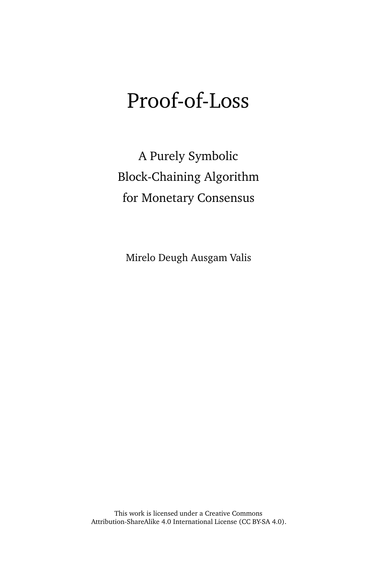# Proof-of-Loss

A Purely Symbolic Block-Chaining Algorithm for Monetary Consensus

Mirelo Deugh Ausgam Valis

This work is licensed under a Creative Commons Attribution-ShareAlike 4.0 International License [\(CC BY-SA 4.0\)](http://creativecommons.org/licenses/by-sa/4.0/).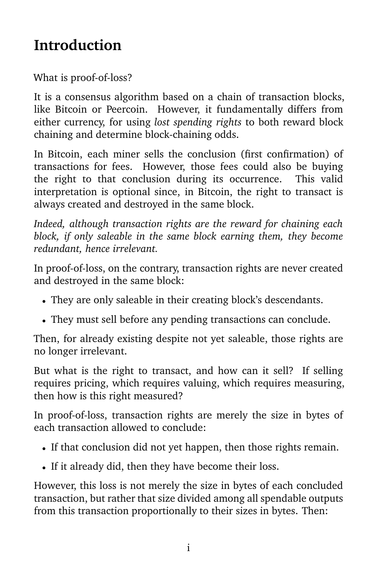#### **Introduction**

What is proof-of-loss?

It is a consensus algorithm based on a chain of transaction blocks, like Bitcoin or Peercoin. However, it fundamentally differs from either currency, for using *lost spending rights* to both reward block chaining and determine block-chaining odds.

In Bitcoin, each miner sells the conclusion (first confirmation) of transactions for fees. However, those fees could also be buying the right to that conclusion during its occurrence. This valid interpretation is optional since, in Bitcoin, the right to transact is always created and destroyed in the same block.

*Indeed, although transaction rights are the reward for chaining each block, if only saleable in the same block earning them, they become redundant, hence irrelevant.*

In proof-of-loss, on the contrary, transaction rights are never created and destroyed in the same block:

- They are only saleable in their creating block's descendants.
- They must sell before any pending transactions can conclude.

Then, for already existing despite not yet saleable, those rights are no longer irrelevant.

But what is the right to transact, and how can it sell? If selling requires pricing, which requires valuing, which requires measuring, then how is this right measured?

In proof-of-loss, transaction rights are merely the size in bytes of each transaction allowed to conclude:

- If that conclusion did not yet happen, then those rights remain.
- If it already did, then they have become their loss.

However, this loss is not merely the size in bytes of each concluded transaction, but rather that size divided among all spendable outputs from this transaction proportionally to their sizes in bytes. Then: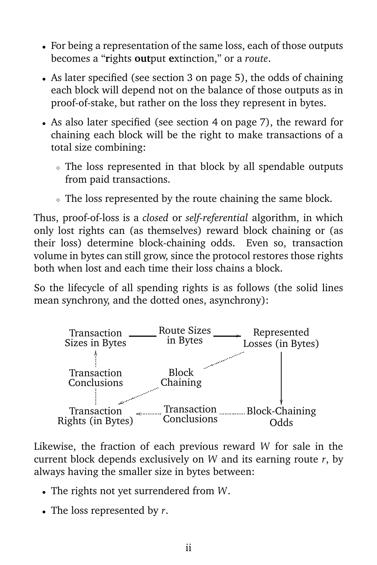- For being a representation of the same loss, each of those outputs becomes a "**r**ights **out**put **e**xtinction," or a *route*.
- As later specified (see section [3 on page 5\)](#page-10-0), the odds of chaining each block will depend not on the balance of those outputs as in proof-of-stake, but rather on the loss they represent in bytes.
- As also later specified (see section [4 on page 7\)](#page-12-0), the reward for chaining each block will be the right to make transactions of a total size combining:
	- <sup>⋄</sup> The loss represented in that block by all spendable outputs from paid transactions.
	- <sup>⋄</sup> The loss represented by the route chaining the same block.

Thus, proof-of-loss is a *closed* or *self-referential* algorithm, in which only lost rights can (as themselves) reward block chaining or (as their loss) determine block-chaining odds. Even so, transaction volume in bytes can still grow, since the protocol restores those rights both when lost and each time their loss chains a block.

So the lifecycle of all spending rights is as follows (the solid lines mean synchrony, and the dotted ones, asynchrony):



Likewise, the fraction of each previous reward *W* for sale in the current block depends exclusively on *W* and its earning route *r*, by always having the smaller size in bytes between:

- The rights not yet surrendered from *W*.
- The loss represented by *r*.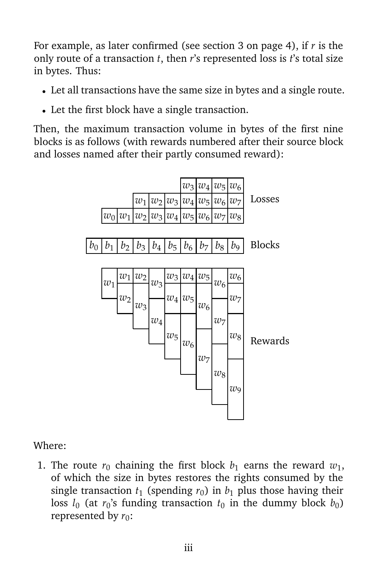For example, as later confirmed (see section [3 on page 4\)](#page-9-0), if *r* is the only route of a transaction *t*, then *r*'s represented loss is *t*'s total size in bytes. Thus:

- Let all transactions have the same size in bytes and a single route.
- Let the first block have a single transaction.

Then, the maximum transaction volume in bytes of the first nine blocks is as follows (with rewards numbered after their source block and losses named after their partly consumed reward):



#### Where:

1. The route  $r_0$  chaining the first block  $b_1$  earns the reward  $w_1$ , of which the size in bytes restores the rights consumed by the single transaction  $t_1$  (spending  $r_0$ ) in  $b_1$  plus those having their loss  $l_0$  (at  $r_0$ 's funding transaction  $t_0$  in the dummy block  $b_0$ ) represented by  $r_0$ :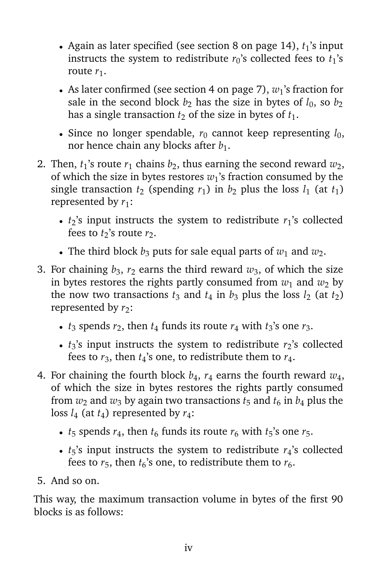- Again as later specified (see section [8 on page 14\)](#page-19-0),  $t_1$ 's input instructs the system to redistribute  $r_0$ 's collected fees to  $t_1$ 's route  $r_1$ .
- As later confirmed (see section [4 on page 7\)](#page-12-1),  $w_1$ 's fraction for sale in the second block  $b_2$  has the size in bytes of  $l_0$ , so  $b_2$ has a single transaction  $t_2$  of the size in bytes of  $t_1$ .
- Since no longer spendable,  $r_0$  cannot keep representing  $l_0$ , nor hence chain any blocks after *b*1.
- 2. Then,  $t_1$ 's route  $r_1$  chains  $b_2$ , thus earning the second reward  $w_2$ , of which the size in bytes restores  $w_1$ 's fraction consumed by the single transaction  $t_2$  (spending  $r_1$ ) in  $b_2$  plus the loss  $l_1$  (at  $t_1$ ) represented by  $r_1$ :
	- $t_2$ 's input instructs the system to redistribute  $r_1$ 's collected fees to  $t_2$ 's route  $r_2$ .
	- The third block  $b_3$  puts for sale equal parts of  $w_1$  and  $w_2$ .
- 3. For chaining  $b_3$ ,  $r_2$  earns the third reward  $w_3$ , of which the size in bytes restores the rights partly consumed from  $w_1$  and  $w_2$  by the now two transactions  $t_3$  and  $t_4$  in  $b_3$  plus the loss  $l_2$  (at  $t_2$ ) represented by  $r_2$ :
	- $t_3$  spends  $r_2$ , then  $t_4$  funds its route  $r_4$  with  $t_3$ 's one  $r_3$ .
	- $t_3$ 's input instructs the system to redistribute  $r_2$ 's collected fees to  $r_3$ , then  $t_4$ 's one, to redistribute them to  $r_4$ .
- 4. For chaining the fourth block  $b_4$ ,  $r_4$  earns the fourth reward  $w_4$ , of which the size in bytes restores the rights partly consumed from  $w_2$  and  $w_3$  by again two transactions  $t_5$  and  $t_6$  in  $b_4$  plus the loss  $l_4$  (at  $t_4$ ) represented by  $r_4$ :
	- $t_5$  spends  $r_4$ , then  $t_6$  funds its route  $r_6$  with  $t_5$ 's one  $r_5$ .
	- $t_5$ 's input instructs the system to redistribute  $r_4$ 's collected fees to  $r_5$ , then  $t_6$ 's one, to redistribute them to  $r_6$ .
- 5. And so on.

This way, the maximum transaction volume in bytes of the first 90 blocks is as follows: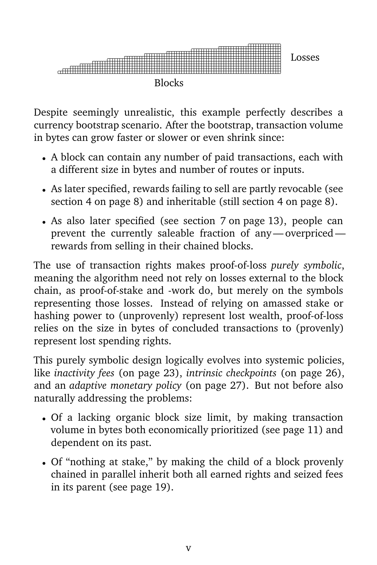

Despite seemingly unrealistic, this example perfectly describes a currency bootstrap scenario. After the bootstrap, transaction volume in bytes can grow faster or slower or even shrink since:

- A block can contain any number of paid transactions, each with a different size in bytes and number of routes or inputs.
- As later specified, rewards failing to sell are partly revocable (see section [4 on page 8\)](#page-13-0) and inheritable (still section [4 on page 8\)](#page-13-1).
- As also later specified (see section [7 on page 13\)](#page-18-0), people can prevent the currently saleable fraction of any— overpriced rewards from selling in their chained blocks.

The use of transaction rights makes proof-of-loss *purely symbolic*, meaning the algorithm need not rely on losses external to the block chain, as proof-of-stake and -work do, but merely on the symbols representing those losses. Instead of relying on amassed stake or hashing power to (unprovenly) represent lost wealth, proof-of-loss relies on the size in bytes of concluded transactions to (provenly) represent lost spending rights.

This purely symbolic design logically evolves into systemic policies, like *inactivity fees* (on page [23\)](#page-28-0), *intrinsic checkpoints* (on page [26\)](#page-31-0), and an *adaptive monetary policy* (on page [27\)](#page-32-0). But not before also naturally addressing the problems:

- Of a lacking organic block size limit, by making transaction volume in bytes both economically prioritized (see page [11\)](#page-16-0) and dependent on its past.
- Of "nothing at stake," by making the child of a block provenly chained in parallel inherit both all earned rights and seized fees in its parent (see page [19\)](#page-24-0).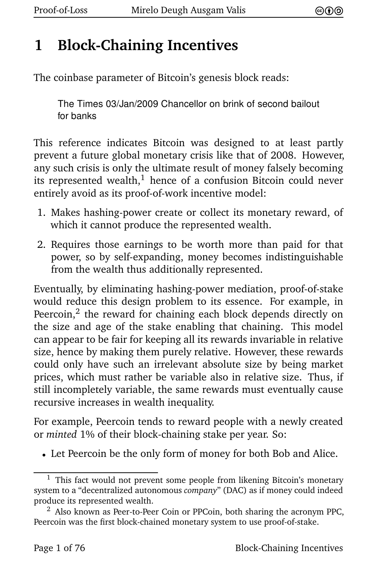#### **1 Block-Chaining Incentives**

The coinbase parameter of Bitcoin's genesis block reads:

The Times 03/Jan/2009 Chancellor on brink of second bailout for banks

This reference indicates Bitcoin was designed to at least partly prevent a future global monetary crisis like that of 2008. However, any such crisis is only the ultimate result of money falsely becoming its represented wealth, $<sup>1</sup>$  hence of a confusion Bitcoin could never</sup> entirely avoid as its proof-of-work incentive model:

- <span id="page-6-0"></span>1. Makes hashing-power create or collect its monetary reward, of which it cannot produce the represented wealth.
- 2. Requires those earnings to be worth more than paid for that power, so by self-expanding, money becomes indistinguishable from the wealth thus additionally represented.

<span id="page-6-1"></span>Eventually, by eliminating hashing-power mediation, proof-of-stake would reduce this design problem to its essence. For example, in Peercoin, $^2$  the reward for chaining each block depends directly on the size and age of the stake enabling that chaining. This model can appear to be fair for keeping all its rewards invariable in relative size, hence by making them purely relative. However, these rewards could only have such an irrelevant absolute size by being market prices, which must rather be variable also in relative size. Thus, if still incompletely variable, the same rewards must eventually cause recursive increases in wealth inequality.

For example, Peercoin tends to reward people with a newly created or *minted* 1% of their block-chaining stake per year. So:

• Let Peercoin be the only form of money for both Bob and Alice.

 $^{\rm 1}$  $^{\rm 1}$  $^{\rm 1}$  This fact would not prevent some people from likening Bitcoin's monetary system to a "decentralized autonomous *company*" (DAC) as if money could indeed produce its represented wealth.

 $2$  Also known as Peer-to-Peer Coin or PPCoin, both sharing the acronym PPC, Peercoin was the first block-chained monetary system to use proof-of-stake.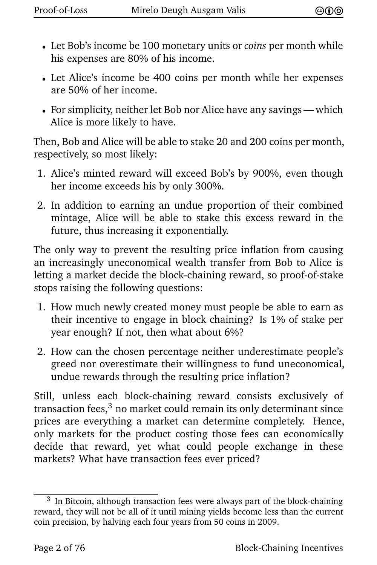- Let Bob's income be 100 monetary units or *coins* per month while his expenses are 80% of his income.
- Let Alice's income be 400 coins per month while her expenses are 50% of her income.
- For simplicity, neither let Bob nor Alice have any savings— which Alice is more likely to have.

Then, Bob and Alice will be able to stake 20 and 200 coins per month, respectively, so most likely:

- 1. Alice's minted reward will exceed Bob's by 900%, even though her income exceeds his by only 300%.
- 2. In addition to earning an undue proportion of their combined mintage, Alice will be able to stake this excess reward in the future, thus increasing it exponentially.

The only way to prevent the resulting price inflation from causing an increasingly uneconomical wealth transfer from Bob to Alice is letting a market decide the block-chaining reward, so proof-of-stake stops raising the following questions:

- 1. How much newly created money must people be able to earn as their incentive to engage in block chaining? Is 1% of stake per year enough? If not, then what about 6%?
- 2. How can the chosen percentage neither underestimate people's greed nor overestimate their willingness to fund uneconomical, undue rewards through the resulting price inflation?

<span id="page-7-0"></span>Still, unless each block-chaining reward consists exclusively of transaction fees, $3$  no market could remain its only determinant since prices are everything a market can determine completely. Hence, only markets for the product costing those fees can economically decide that reward, yet what could people exchange in these markets? What have transaction fees ever priced?

 $3$  In Bitcoin, although transaction fees were always part of the block-chaining reward, they will not be all of it until mining yields become less than the current coin precision, by halving each four years from 50 coins in 2009.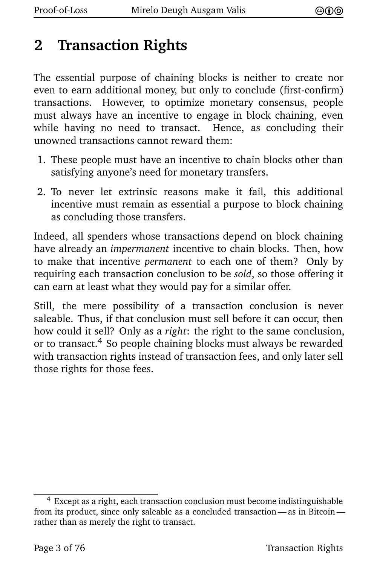#### **2 Transaction Rights**

The essential purpose of chaining blocks is neither to create nor even to earn additional money, but only to conclude (first-confirm) transactions. However, to optimize monetary consensus, people must always have an incentive to engage in block chaining, even while having no need to transact. Hence, as concluding their unowned transactions cannot reward them:

- 1. These people must have an incentive to chain blocks other than satisfying anyone's need for monetary transfers.
- 2. To never let extrinsic reasons make it fail, this additional incentive must remain as essential a purpose to block chaining as concluding those transfers.

Indeed, all spenders whose transactions depend on block chaining have already an *impermanent* incentive to chain blocks. Then, how to make that incentive *permanent* to each one of them? Only by requiring each transaction conclusion to be *sold*, so those offering it can earn at least what they would pay for a similar offer.

<span id="page-8-0"></span>Still, the mere possibility of a transaction conclusion is never saleable. Thus, if that conclusion must sell before it can occur, then how could it sell? Only as a *right*: the right to the same conclusion, or to transact.<sup>4</sup> So people chaining blocks must always be rewarded with transaction rights instead of transaction fees, and only later sell those rights for those fees.

[<sup>4</sup>](#page-8-0) Except as a right, each transaction conclusion must become indistinguishable from its product, since only saleable as a concluded transaction — as in Bitcoin rather than as merely the right to transact.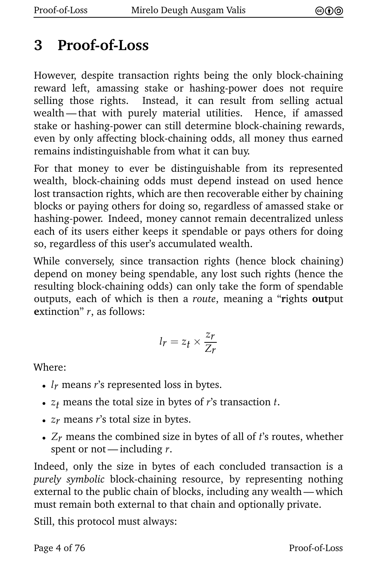#### **3 Proof-of-Loss**

However, despite transaction rights being the only block-chaining reward left, amassing stake or hashing-power does not require selling those rights. Instead, it can result from selling actual wealth — that with purely material utilities. Hence, if amassed stake or hashing-power can still determine block-chaining rewards, even by only affecting block-chaining odds, all money thus earned remains indistinguishable from what it can buy.

For that money to ever be distinguishable from its represented wealth, block-chaining odds must depend instead on used hence lost transaction rights, which are then recoverable either by chaining blocks or paying others for doing so, regardless of amassed stake or hashing-power. Indeed, money cannot remain decentralized unless each of its users either keeps it spendable or pays others for doing so, regardless of this user's accumulated wealth.

<span id="page-9-0"></span>While conversely, since transaction rights (hence block chaining) depend on money being spendable, any lost such rights (hence the resulting block-chaining odds) can only take the form of spendable outputs, each of which is then a *route*, meaning a "**r**ights **out**put **e**xtinction" *r*, as follows:

$$
l_r = z_t \times \frac{z_r}{Z_r}
$$

Where:

- *l<sub>r</sub>* means *r*'s represented loss in bytes.
- $z_t$  means the total size in bytes of  $r$ 's transaction  $t$ .
- *zr* means *r*'s total size in bytes.
- *Zr* means the combined size in bytes of all of *t*'s routes, whether spent or not— including *r*.

Indeed, only the size in bytes of each concluded transaction is a *purely symbolic* block-chaining resource, by representing nothing external to the public chain of blocks, including any wealth— which must remain both external to that chain and optionally private.

Still, this protocol must always: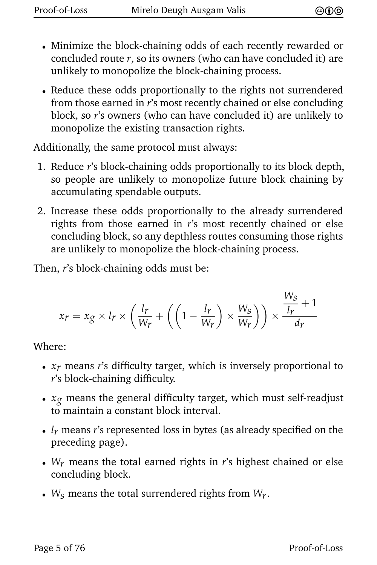- Minimize the block-chaining odds of each recently rewarded or concluded route *r*, so its owners (who can have concluded it) are unlikely to monopolize the block-chaining process.
- Reduce these odds proportionally to the rights not surrendered from those earned in *r*'s most recently chained or else concluding block, so *r*'s owners (who can have concluded it) are unlikely to monopolize the existing transaction rights.

Additionally, the same protocol must always:

- 1. Reduce *r*'s block-chaining odds proportionally to its block depth, so people are unlikely to monopolize future block chaining by accumulating spendable outputs.
- 2. Increase these odds proportionally to the already surrendered rights from those earned in *r*'s most recently chained or else concluding block, so any depthless routes consuming those rights are unlikely to monopolize the block-chaining process.

<span id="page-10-0"></span>Then, *r*'s block-chaining odds must be:

$$
x_r = x_g \times l_r \times \left(\frac{l_r}{W_r} + \left(\left(1 - \frac{l_r}{W_r}\right) \times \frac{W_S}{W_r}\right)\right) \times \frac{\frac{W_S}{l_r} + 1}{d_r}
$$

Where:

- *xr* means *r*'s difficulty target, which is inversely proportional to *r*'s block-chaining difficulty.
- *xg* means the general difficulty target, which must self-readjust to maintain a constant block interval.
- *lr* means *r*'s represented loss in bytes (as already specified on the preceding page).
- *Wr* means the total earned rights in *r*'s highest chained or else concluding block.
- *Ws* means the total surrendered rights from *Wr*.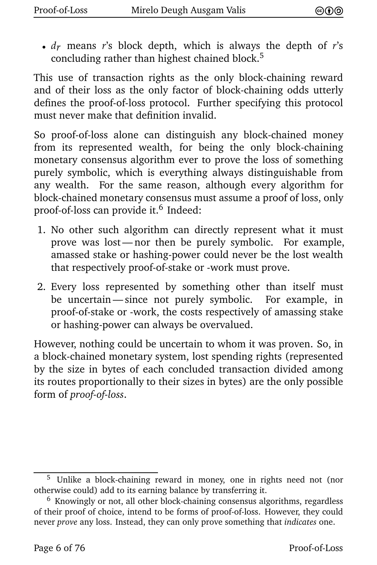<span id="page-11-0"></span>• *dr* means *r*'s block depth, which is always the depth of *r*'s concluding rather than highest chained block.<sup>5</sup>

This use of transaction rights as the only block-chaining reward and of their loss as the only factor of block-chaining odds utterly defines the proof-of-loss protocol. Further specifying this protocol must never make that definition invalid.

So proof-of-loss alone can distinguish any block-chained money from its represented wealth, for being the only block-chaining monetary consensus algorithm ever to prove the loss of something purely symbolic, which is everything always distinguishable from any wealth. For the same reason, although every algorithm for block-chained monetary consensus must assume a proof of loss, only proof-of-loss can provide it.<sup>6</sup> Indeed:

- <span id="page-11-1"></span>1. No other such algorithm can directly represent what it must prove was lost— nor then be purely symbolic. For example, amassed stake or hashing-power could never be the lost wealth that respectively proof-of-stake or -work must prove.
- 2. Every loss represented by something other than itself must be uncertain— since not purely symbolic. For example, in proof-of-stake or -work, the costs respectively of amassing stake or hashing-power can always be overvalued.

However, nothing could be uncertain to whom it was proven. So, in a block-chained monetary system, lost spending rights (represented by the size in bytes of each concluded transaction divided among its routes proportionally to their sizes in bytes) are the only possible form of *proof-of-loss*.

[<sup>5</sup>](#page-11-0) Unlike a block-chaining reward in money, one in rights need not (nor otherwise could) add to its earning balance by transferring it.

 $6$  Knowingly or not, all other block-chaining consensus algorithms, regardless of their proof of choice, intend to be forms of proof-of-loss. However, they could never *prove* any loss. Instead, they can only prove something that *indicates* one.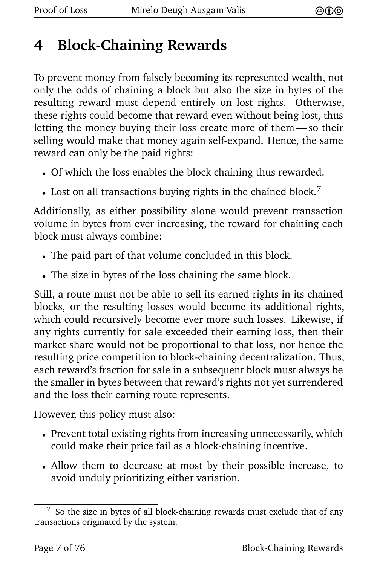#### **4 Block-Chaining Rewards**

To prevent money from falsely becoming its represented wealth, not only the odds of chaining a block but also the size in bytes of the resulting reward must depend entirely on lost rights. Otherwise, these rights could become that reward even without being lost, thus letting the money buying their loss create more of them — so their selling would make that money again self-expand. Hence, the same reward can only be the paid rights:

- Of which the loss enables the block chaining thus rewarded.
- <span id="page-12-2"></span><span id="page-12-0"></span>• Lost on all transactions buying rights in the chained block.<sup>7</sup>

Additionally, as either possibility alone would prevent transaction volume in bytes from ever increasing, the reward for chaining each block must always combine:

- The paid part of that volume concluded in this block.
- The size in bytes of the loss chaining the same block.

<span id="page-12-1"></span>Still, a route must not be able to sell its earned rights in its chained blocks, or the resulting losses would become its additional rights, which could recursively become ever more such losses. Likewise, if any rights currently for sale exceeded their earning loss, then their market share would not be proportional to that loss, nor hence the resulting price competition to block-chaining decentralization. Thus, each reward's fraction for sale in a subsequent block must always be the smaller in bytes between that reward's rights not yet surrendered and the loss their earning route represents.

However, this policy must also:

- Prevent total existing rights from increasing unnecessarily, which could make their price fail as a block-chaining incentive.
- Allow them to decrease at most by their possible increase, to avoid unduly prioritizing either variation.

 $7$  So the size in bytes of all block-chaining rewards must exclude that of any transactions originated by the system.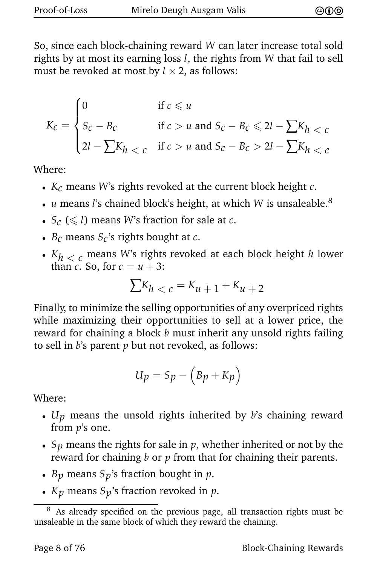<span id="page-13-0"></span>So, since each block-chaining reward *W* can later increase total sold rights by at most its earning loss *l*, the rights from *W* that fail to sell must be revoked at most by  $l \times 2$ , as follows:

$$
K_C = \begin{cases} 0 & \text{if } c \le u \\ S_C - B_C & \text{if } c > u \text{ and } S_C - B_C \le 2l - \sum K_h < c \\ 2l - \sum K_h < c & \text{if } c > u \text{ and } S_C - B_C > 2l - \sum K_h < c \end{cases}
$$

Where:

- *Kc* means *W*'s rights revoked at the current block height *c*.
- *u* means *l*'s chained block's height, at which *W* is unsaleable.<sup>8</sup>
- $S_c$  ( $\leq l$ ) means *W*'s fraction for sale at *c*.
- *Bc* means *Sc*'s rights bought at *c*.
- *Kh* < *c* means *W*'s rights revoked at each block height *h* lower than *c*. So, for  $c = u + 3$ :

<span id="page-13-2"></span>
$$
\sum K_h < c = K_{\mathcal{U}} + 1 + K_{\mathcal{U}} + 2
$$

<span id="page-13-1"></span>Finally, to minimize the selling opportunities of any overpriced rights while maximizing their opportunities to sell at a lower price, the reward for chaining a block *b* must inherit any unsold rights failing to sell in *b*'s parent *p* but not revoked, as follows:

$$
U_p = S_p - (B_p + K_p)
$$

Where:

- *Up* means the unsold rights inherited by *b*'s chaining reward from *p*'s one.
- $S_p$  means the rights for sale in  $p$ , whether inherited or not by the reward for chaining *b* or *p* from that for chaining their parents.
- *Bp* means *Sp*'s fraction bought in *p*.
- *Kp* means *Sp*'s fraction revoked in *p*.

As already specified on the previous page, all transaction rights must be unsaleable in the same block of which they reward the chaining.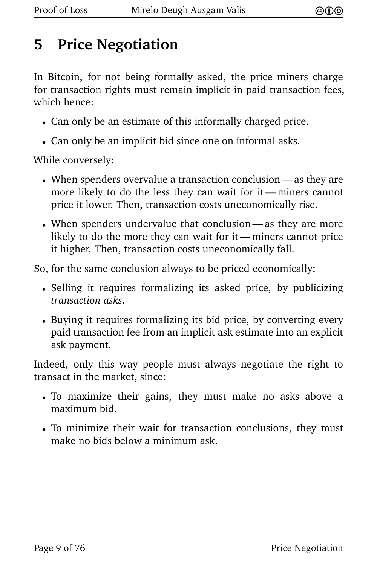#### **5 Price Negotiation**

In Bitcoin, for not being formally asked, the price miners charge for transaction rights must remain implicit in paid transaction fees, which hence:

- Can only be an estimate of this informally charged price.
- Can only be an implicit bid since one on informal asks.

While conversely:

- When spenders overvalue a transaction conclusion as they are more likely to do the less they can wait for it— miners cannot price it lower. Then, transaction costs uneconomically rise.
- When spenders undervalue that conclusion— as they are more likely to do the more they can wait for it— miners cannot price it higher. Then, transaction costs uneconomically fall.

So, for the same conclusion always to be priced economically:

- Selling it requires formalizing its asked price, by publicizing *transaction asks*.
- Buying it requires formalizing its bid price, by converting every paid transaction fee from an implicit ask estimate into an explicit ask payment.

Indeed, only this way people must always negotiate the right to transact in the market, since:

- To maximize their gains, they must make no asks above a maximum bid.
- To minimize their wait for transaction conclusions, they must make no bids below a minimum ask.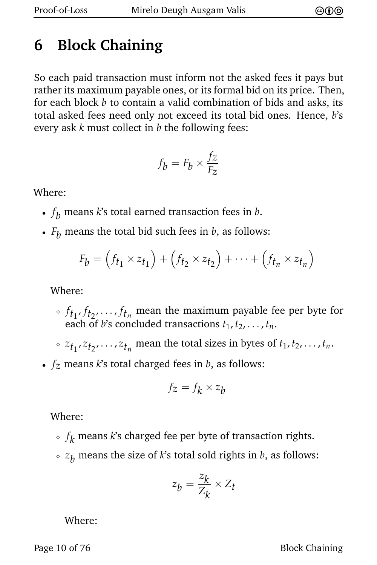## **6 Block Chaining**

So each paid transaction must inform not the asked fees it pays but rather its maximum payable ones, or its formal bid on its price. Then, for each block *b* to contain a valid combination of bids and asks, its total asked fees need only not exceed its total bid ones. Hence, *b*'s every ask *k* must collect in *b* the following fees:

$$
f_b = F_b \times \frac{f_z}{F_z}
$$

Where:

- *f b* means *k*'s total earned transaction fees in *b*.
- $F_h$  means the total bid such fees in  $b$ , as follows:

$$
F_b = (f_{t_1} \times z_{t_1}) + (f_{t_2} \times z_{t_2}) + \cdots + (f_{t_n} \times z_{t_n})
$$

Where:

- $\delta$   $f_{t_1}, f_{t_2}, \ldots, f_{t_n}$  mean the maximum payable fee per byte for each of *b*'s concluded transactions  $t_1, t_2, \ldots, t_n$ .
- $\sim z_{t_1}, z_{t_2}, \ldots, z_{t_n}$  mean the total sizes in bytes of  $t_1, t_2, \ldots, t_n$ .
- *fz* means *k*'s total charged fees in *b*, as follows:

$$
f_z = f_k \times z_b
$$

Where:

- $\delta \cdot f_{\pmb{k}}$  means  $k$ 's charged fee per byte of transaction rights.
- $\sim z_b$  means the size of *k*'s total sold rights in *b*, as follows:

$$
z_b = \frac{z_k}{Z_k} \times Z_t
$$

Where:

Page 10 of 76 Block Chaining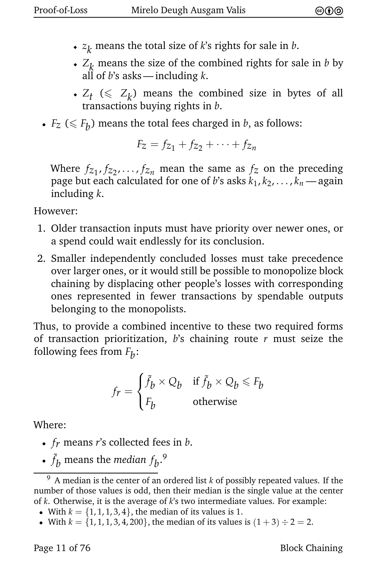- ◆ *z k* means the total size of *k*'s rights for sale in *b*.
- $\cdot$  *Z*<sub>*k*</sub> means the size of the combined rights for sale in *b* by all of *b*'s asks— including *k*.
- $Z_t \leq Z_k$ ) means the combined size in bytes of all transactions buying rights in *b*.
- $F_z \leq F_b$ ) means the total fees charged in *b*, as follows:

$$
F_z = f_{z_1} + f_{z_2} + \cdots + f_{z_n}
$$

Where  $f_{z_1}, f_{z_2}, \ldots, f_{z_n}$  mean the same as  $f_z$  on the preceding page but each calculated for one of *b*'s asks  $k_1, k_2, \ldots, k_n$  — again including *k*.

However:

- 1. Older transaction inputs must have priority over newer ones, or a spend could wait endlessly for its conclusion.
- 2. Smaller independently concluded losses must take precedence over larger ones, or it would still be possible to monopolize block chaining by displacing other people's losses with corresponding ones represented in fewer transactions by spendable outputs belonging to the monopolists.

<span id="page-16-0"></span>Thus, to provide a combined incentive to these two required forms of transaction prioritization, *b*'s chaining route *r* must seize the following fees from  $F_{\boldsymbol{b}}$ :

<span id="page-16-1"></span>
$$
f_r = \begin{cases} \tilde{f}_b \times Q_b & \text{if } \tilde{f}_b \times Q_b \le F_b \\ F_b & \text{otherwise} \end{cases}
$$

Where:

- *fr* means *r*'s collected fees in *b*.
- $\tilde{f}_b$  means the *median*  $f_b$ .<sup>9</sup>

- With  $k = \{1, 1, 1, 3, 4\}$ , the median of its values is 1.
- With  $k = \{1, 1, 1, 3, 4, 200\}$ , the median of its values is  $(1+3) \div 2 = 2$ .

Page 11 of 76 Block Chaining

<span id="page-16-2"></span>[<sup>9</sup>](#page-16-1) A median is the center of an ordered list *k* of possibly repeated values. If the number of those values is odd, then their median is the single value at the center of *k*. Otherwise, it is the average of *k*'s two intermediate values. For example: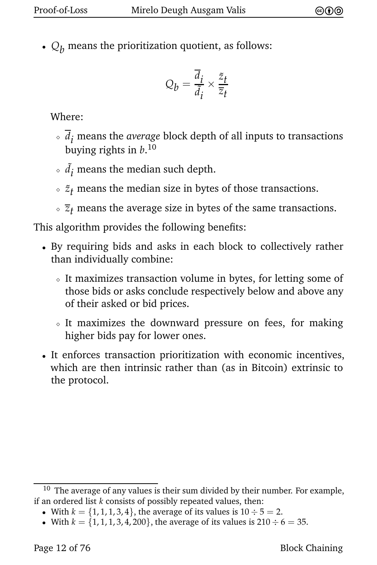•  $Q_h$  means the prioritization quotient, as follows:

<span id="page-17-0"></span>
$$
Q_b = \frac{\overline{d}_i}{\tilde{d}_i} \times \frac{\tilde{z}_t}{\overline{z}_t}
$$

Where:

- $\sqrt{d_i}$  means the *average* block depth of all inputs to transactions buying rights in *b*. 10
- $\delta$   $\tilde{d}_i$  means the median such depth.
- $\delta \cdot \tilde{z}_t$  means the median size in bytes of those transactions.
- $\sqrt{z_t}$  means the average size in bytes of the same transactions.

This algorithm provides the following benefits:

- By requiring bids and asks in each block to collectively rather than individually combine:
	- <sup>⋄</sup> It maximizes transaction volume in bytes, for letting some of those bids or asks conclude respectively below and above any of their asked or bid prices.
	- $\circ$  It maximizes the downward pressure on fees, for making higher bids pay for lower ones.
- It enforces transaction prioritization with economic incentives, which are then intrinsic rather than (as in Bitcoin) extrinsic to the protocol.

 $10$  The average of any values is their sum divided by their number. For example, if an ordered list *k* consists of possibly repeated values, then:

<sup>•</sup> With  $k = \{1, 1, 1, 3, 4\}$ , the average of its values is  $10 \div 5 = 2$ .

<sup>•</sup> With  $k = \{1, 1, 1, 3, 4, 200\}$ , the average of its values is  $210 \div 6 = 35$ .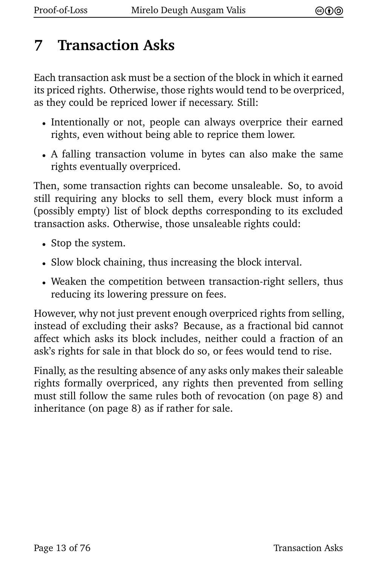## **7 Transaction Asks**

<span id="page-18-1"></span>Each transaction ask must be a section of the block in which it earned its priced rights. Otherwise, those rights would tend to be overpriced, as they could be repriced lower if necessary. Still:

- Intentionally or not, people can always overprice their earned rights, even without being able to reprice them lower.
- A falling transaction volume in bytes can also make the same rights eventually overpriced.

<span id="page-18-0"></span>Then, some transaction rights can become unsaleable. So, to avoid still requiring any blocks to sell them, every block must inform a (possibly empty) list of block depths corresponding to its excluded transaction asks. Otherwise, those unsaleable rights could:

- Stop the system.
- Slow block chaining, thus increasing the block interval.
- Weaken the competition between transaction-right sellers, thus reducing its lowering pressure on fees.

However, why not just prevent enough overpriced rights from selling, instead of excluding their asks? Because, as a fractional bid cannot affect which asks its block includes, neither could a fraction of an ask's rights for sale in that block do so, or fees would tend to rise.

Finally, as the resulting absence of any asks only makes their saleable rights formally overpriced, any rights then prevented from selling must still follow the same rules both of revocation (on page [8\)](#page-13-0) and inheritance (on page [8\)](#page-13-1) as if rather for sale.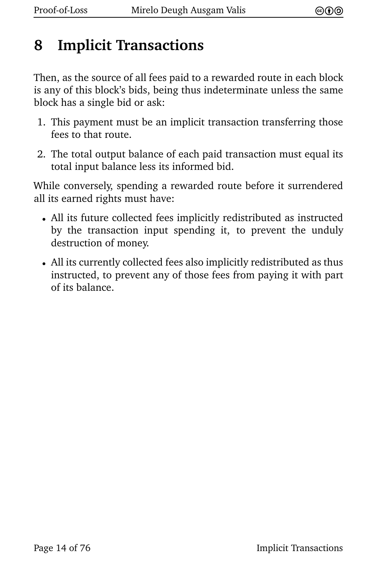#### **8 Implicit Transactions**

Then, as the source of all fees paid to a rewarded route in each block is any of this block's bids, being thus indeterminate unless the same block has a single bid or ask:

- 1. This payment must be an implicit transaction transferring those fees to that route.
- 2. The total output balance of each paid transaction must equal its total input balance less its informed bid.

<span id="page-19-0"></span>While conversely, spending a rewarded route before it surrendered all its earned rights must have:

- All its future collected fees implicitly redistributed as instructed by the transaction input spending it, to prevent the unduly destruction of money.
- All its currently collected fees also implicitly redistributed as thus instructed, to prevent any of those fees from paying it with part of its balance.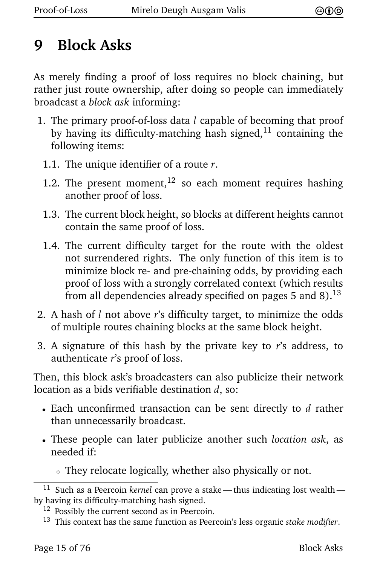#### **9 Block Asks**

As merely finding a proof of loss requires no block chaining, but rather just route ownership, after doing so people can immediately broadcast a *block ask* informing:

- <span id="page-20-3"></span><span id="page-20-1"></span><span id="page-20-0"></span>1. The primary proof-of-loss data *l* capable of becoming that proof by having its difficulty-matching hash signed, $^{11}$  containing the following items:
	- 1.1. The unique identifier of a route *r*.
	- 1.2. The present moment,  $12$  so each moment requires hashing another proof of loss.
	- 1.3. The current block height, so blocks at different heights cannot contain the same proof of loss.
	- 1.4. The current difficulty target for the route with the oldest not surrendered rights. The only function of this item is to minimize block re- and pre-chaining odds, by providing each proof of loss with a strongly correlated context (which results from all dependencies already specified on pages [5](#page-10-0) and [8\)](#page-13-1). $^{13}$
- <span id="page-20-4"></span><span id="page-20-2"></span>2. A hash of *l* not above *r*'s difficulty target, to minimize the odds of multiple routes chaining blocks at the same block height.
- 3. A signature of this hash by the private key to *r*'s address, to authenticate *r*'s proof of loss.

Then, this block ask's broadcasters can also publicize their network location as a bids verifiable destination *d*, so:

- Each unconfirmed transaction can be sent directly to *d* rather than unnecessarily broadcast.
- These people can later publicize another such *location ask*, as needed if:
	- <sup>⋄</sup> They relocate logically, whether also physically or not.

<sup>&</sup>lt;sup>[11](#page-20-0)</sup> Such as a Peercoin *kernel* can prove a stake — thus indicating lost wealth by having its difficulty-matching hash signed.

<sup>&</sup>lt;sup>[12](#page-20-1)</sup> Possibly the current second as in Peercoin.

[<sup>13</sup>](#page-20-2) This context has the same function as Peercoin's less organic *stake modifier*.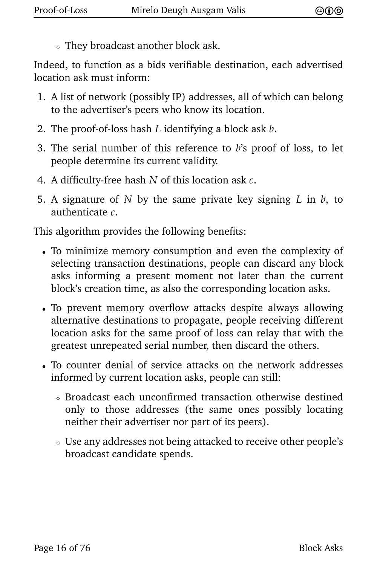<sup>⋄</sup> They broadcast another block ask.

Indeed, to function as a bids verifiable destination, each advertised location ask must inform:

- 1. A list of network (possibly IP) addresses, all of which can belong to the advertiser's peers who know its location.
- 2. The proof-of-loss hash *L* identifying a block ask *b*.
- 3. The serial number of this reference to *b*'s proof of loss, to let people determine its current validity.
- 4. A difficulty-free hash *N* of this location ask *c*.
- 5. A signature of *N* by the same private key signing *L* in *b*, to authenticate *c*.

This algorithm provides the following benefits:

- To minimize memory consumption and even the complexity of selecting transaction destinations, people can discard any block asks informing a present moment not later than the current block's creation time, as also the corresponding location asks.
- To prevent memory overflow attacks despite always allowing alternative destinations to propagate, people receiving different location asks for the same proof of loss can relay that with the greatest unrepeated serial number, then discard the others.
- To counter denial of service attacks on the network addresses informed by current location asks, people can still:
	- <sup>⋄</sup> Broadcast each unconfirmed transaction otherwise destined only to those addresses (the same ones possibly locating neither their advertiser nor part of its peers).
	- <sup>⋄</sup> Use any addresses not being attacked to receive other people's broadcast candidate spends.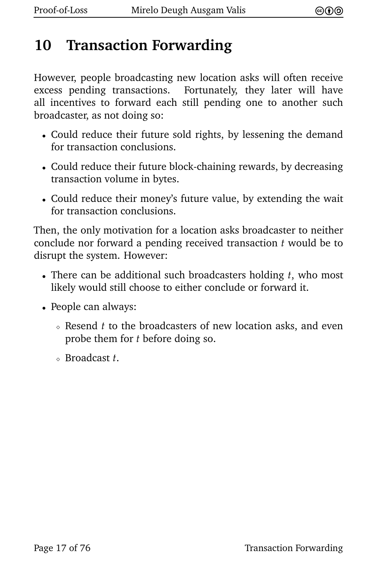#### **10 Transaction Forwarding**

However, people broadcasting new location asks will often receive excess pending transactions. Fortunately, they later will have all incentives to forward each still pending one to another such broadcaster, as not doing so:

- Could reduce their future sold rights, by lessening the demand for transaction conclusions.
- Could reduce their future block-chaining rewards, by decreasing transaction volume in bytes.
- Could reduce their money's future value, by extending the wait for transaction conclusions.

Then, the only motivation for a location asks broadcaster to neither conclude nor forward a pending received transaction *t* would be to disrupt the system. However:

- There can be additional such broadcasters holding *t*, who most likely would still choose to either conclude or forward it.
- People can always:
	- <sup>⋄</sup> Resend *t* to the broadcasters of new location asks, and even probe them for *t* before doing so.
	- <sup>⋄</sup> Broadcast *t*.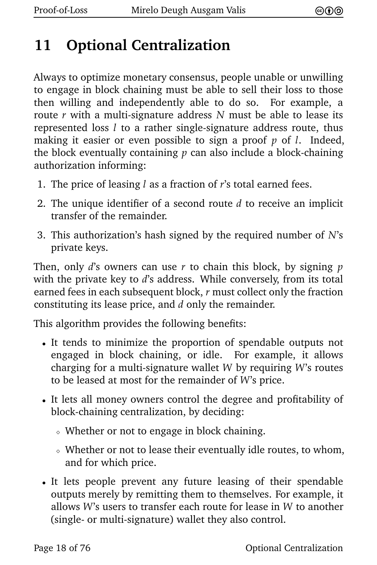#### **11 Optional Centralization**

<span id="page-23-0"></span>Always to optimize monetary consensus, people unable or unwilling to engage in block chaining must be able to sell their loss to those then willing and independently able to do so. For example, a route *r* with a multi-signature address *N* must be able to lease its represented loss *l* to a rather single-signature address route, thus making it easier or even possible to sign a proof *p* of *l*. Indeed, the block eventually containing *p* can also include a block-chaining authorization informing:

- 1. The price of leasing *l* as a fraction of *r*'s total earned fees.
- 2. The unique identifier of a second route *d* to receive an implicit transfer of the remainder.
- 3. This authorization's hash signed by the required number of *N*'s private keys.

Then, only *d*'s owners can use *r* to chain this block, by signing *p* with the private key to *d*'s address. While conversely, from its total earned fees in each subsequent block, *r* must collect only the fraction constituting its lease price, and *d* only the remainder.

This algorithm provides the following benefits:

- It tends to minimize the proportion of spendable outputs not engaged in block chaining, or idle. For example, it allows charging for a multi-signature wallet *W* by requiring *W*'s routes to be leased at most for the remainder of *W*'s price.
- It lets all money owners control the degree and profitability of block-chaining centralization, by deciding:
	- <sup>⋄</sup> Whether or not to engage in block chaining.
	- <sup>⋄</sup> Whether or not to lease their eventually idle routes, to whom, and for which price.
- It lets people prevent any future leasing of their spendable outputs merely by remitting them to themselves. For example, it allows *W*'s users to transfer each route for lease in *W* to another (single- or multi-signature) wallet they also control.

Page 18 of 76 Contralization Centralization Centralization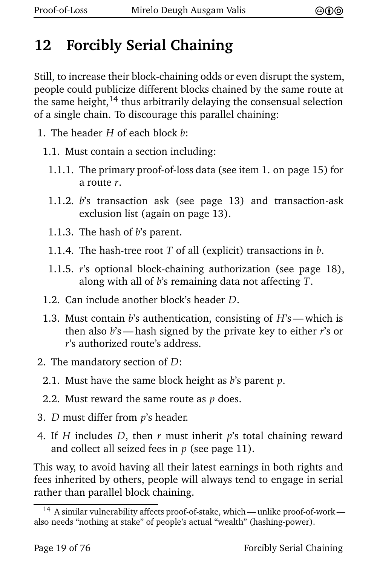#### **12 Forcibly Serial Chaining**

<span id="page-24-1"></span>Still, to increase their block-chaining odds or even disrupt the system, people could publicize different blocks chained by the same route at the same height, $14$  thus arbitrarily delaying the consensual selection of a single chain. To discourage this parallel chaining:

- 1. The header *H* of each block *b*:
	- 1.1. Must contain a section including:
		- 1.1.1. The primary proof-of-loss data (see item [1. on page 15\)](#page-20-3) for a route *r*.
		- 1.1.2. *b*'s transaction ask (see page [13\)](#page-18-1) and transaction-ask exclusion list (again on page [13\)](#page-18-0).
		- 1.1.3. The hash of *b*'s parent.
		- 1.1.4. The hash-tree root *T* of all (explicit) transactions in *b*.
		- 1.1.5. *r*'s optional block-chaining authorization (see page [18\)](#page-23-0), along with all of *b*'s remaining data not affecting *T*.
	- 1.2. Can include another block's header *D*.
	- 1.3. Must contain *b*'s authentication, consisting of *H*'s— which is then also *b*'s — hash signed by the private key to either *r*'s or *r*'s authorized route's address.
- 2. The mandatory section of *D*:
	- 2.1. Must have the same block height as *b*'s parent *p*.
	- 2.2. Must reward the same route as *p* does.
- 3. *D* must differ from *p*'s header.
- <span id="page-24-0"></span>4. If *H* includes *D*, then *r* must inherit *p*'s total chaining reward and collect all seized fees in *p* (see page [11\)](#page-16-0).

This way, to avoid having all their latest earnings in both rights and fees inherited by others, people will always tend to engage in serial rather than parallel block chaining.

<sup>&</sup>lt;sup>[14](#page-24-1)</sup> A similar vulnerability affects proof-of-stake, which — unlike proof-of-work also needs "nothing at stake" of people's actual "wealth" (hashing-power).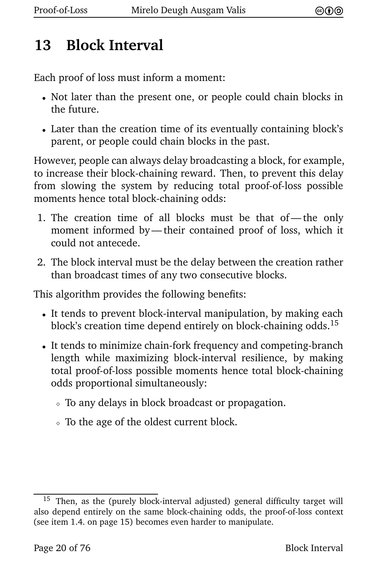#### **13 Block Interval**

Each proof of loss must inform a moment:

- Not later than the present one, or people could chain blocks in the future.
- Later than the creation time of its eventually containing block's parent, or people could chain blocks in the past.

However, people can always delay broadcasting a block, for example, to increase their block-chaining reward. Then, to prevent this delay from slowing the system by reducing total proof-of-loss possible moments hence total block-chaining odds:

- 1. The creation time of all blocks must be that of— the only moment informed by— their contained proof of loss, which it could not antecede.
- 2. The block interval must be the delay between the creation rather than broadcast times of any two consecutive blocks.

This algorithm provides the following benefits:

- <span id="page-25-0"></span>• It tends to prevent block-interval manipulation, by making each block's creation time depend entirely on block-chaining odds.<sup>15</sup>
- It tends to minimize chain-fork frequency and competing-branch length while maximizing block-interval resilience, by making total proof-of-loss possible moments hence total block-chaining odds proportional simultaneously:
	- <sup>⋄</sup> To any delays in block broadcast or propagation.
	- <sup>⋄</sup> To the age of the oldest current block.

<sup>&</sup>lt;sup>[15](#page-25-0)</sup> Then, as the (purely block-interval adjusted) general difficulty target will also depend entirely on the same block-chaining odds, the proof-of-loss context (see item [1.4. on page 15\)](#page-20-4) becomes even harder to manipulate.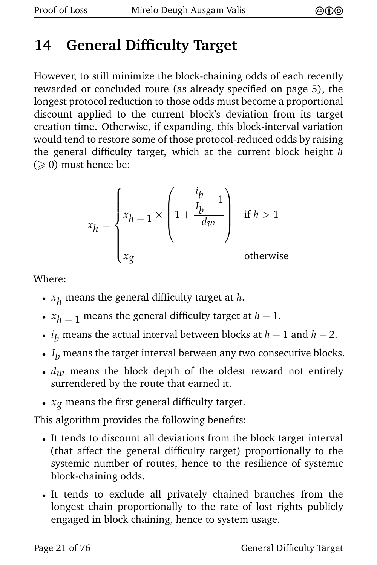## **14 General Difficulty Target**

However, to still minimize the block-chaining odds of each recently rewarded or concluded route (as already specified on page [5\)](#page-10-0), the longest protocol reduction to those odds must become a proportional discount applied to the current block's deviation from its target creation time. Otherwise, if expanding, this block-interval variation would tend to restore some of those protocol-reduced odds by raising the general difficulty target, which at the current block height *h*  $( \geq 0)$  must hence be:

$$
x_h = \begin{cases} x_{h-1} \times \left(1 + \frac{\frac{i_b}{I_b} - 1}{d_w}\right) & \text{if } h > 1 \\ x_g & \text{otherwise} \end{cases}
$$

Where:

- *x h* means the general difficulty target at *h*.
- *x <sup>h</sup>* − <sup>1</sup> means the general difficulty target at *<sup>h</sup>* − <sup>1</sup>.
- *i <sup>b</sup>* means the actual interval between blocks at *<sup>h</sup>* <sup>−</sup> <sup>1</sup> and *<sup>h</sup>* <sup>−</sup> <sup>2</sup>.
- $\bm{\cdot}$   $I_b$  means the target interval between any two consecutive blocks.
- $d<sub>w</sub>$  means the block depth of the oldest reward not entirely surrendered by the route that earned it.
- *xg* means the first general difficulty target.

This algorithm provides the following benefits:

- It tends to discount all deviations from the block target interval (that affect the general difficulty target) proportionally to the systemic number of routes, hence to the resilience of systemic block-chaining odds.
- It tends to exclude all privately chained branches from the longest chain proportionally to the rate of lost rights publicly engaged in block chaining, hence to system usage.

Page 21 of 76 General Difficulty Target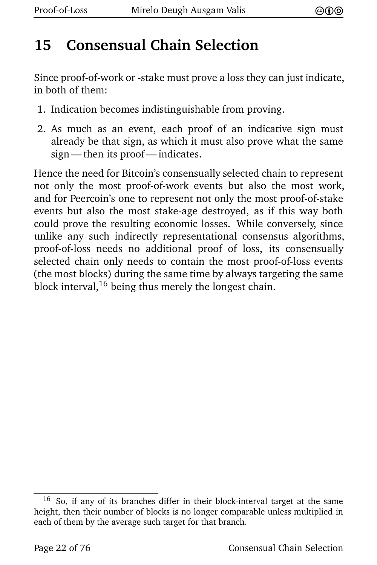#### **15 Consensual Chain Selection**

Since proof-of-work or -stake must prove a loss they can just indicate, in both of them:

- 1. Indication becomes indistinguishable from proving.
- 2. As much as an event, each proof of an indicative sign must already be that sign, as which it must also prove what the same sign— then its proof— indicates.

<span id="page-27-0"></span>Hence the need for Bitcoin's consensually selected chain to represent not only the most proof-of-work events but also the most work, and for Peercoin's one to represent not only the most proof-of-stake events but also the most stake-age destroyed, as if this way both could prove the resulting economic losses. While conversely, since unlike any such indirectly representational consensus algorithms, proof-of-loss needs no additional proof of loss, its consensually selected chain only needs to contain the most proof-of-loss events (the most blocks) during the same time by always targeting the same block interval,  $16$  being thus merely the longest chain.

[<sup>16</sup>](#page-27-0) So, if any of its branches differ in their block-interval target at the same height, then their number of blocks is no longer comparable unless multiplied in each of them by the average such target for that branch.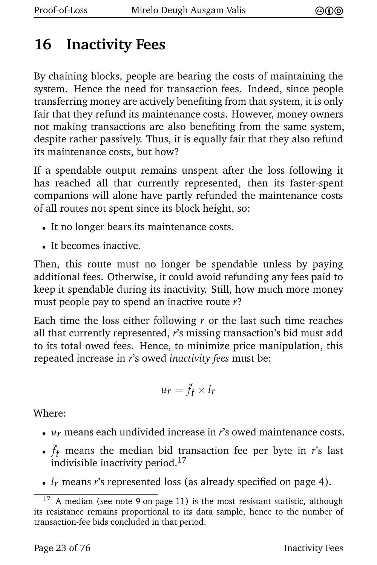#### <span id="page-28-0"></span>**16 Inactivity Fees**

By chaining blocks, people are bearing the costs of maintaining the system. Hence the need for transaction fees. Indeed, since people transferring money are actively benefiting from that system, it is only fair that they refund its maintenance costs. However, money owners not making transactions are also benefiting from the same system, despite rather passively. Thus, it is equally fair that they also refund its maintenance costs, but how?

If a spendable output remains unspent after the loss following it has reached all that currently represented, then its faster-spent companions will alone have partly refunded the maintenance costs of all routes not spent since its block height, so:

- It no longer bears its maintenance costs.
- It becomes inactive.

Then, this route must no longer be spendable unless by paying additional fees. Otherwise, it could avoid refunding any fees paid to keep it spendable during its inactivity. Still, how much more money must people pay to spend an inactive route *r*?

Each time the loss either following *r* or the last such time reaches all that currently represented, *r*'s missing transaction's bid must add to its total owed fees. Hence, to minimize price manipulation, this repeated increase in *r*'s owed *inactivity fees* must be:

<span id="page-28-1"></span>
$$
u_r = \tilde{f}_t \times l_r
$$

Where:

- *ur* means each undivided increase in *r*'s owed maintenance costs.
- $\tilde{f}_t$  means the median bid transaction fee per byte in *r*'s last indivisible inactivity period.<sup>17</sup>
- *lr* means *r*'s represented loss (as already specified on page [4\)](#page-9-0).

 $17$  A median (see note [9 on page 11\)](#page-16-2) is the most resistant statistic, although its resistance remains proportional to its data sample, hence to the number of transaction-fee bids concluded in that period.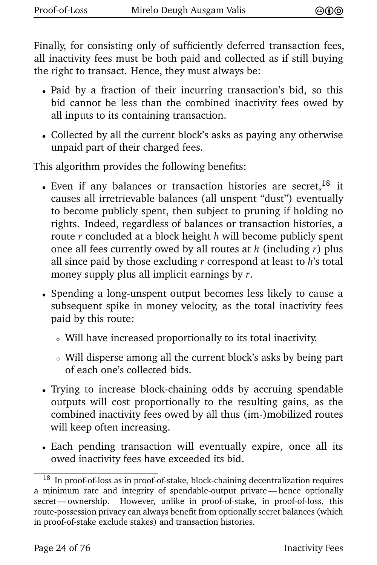Finally, for consisting only of sufficiently deferred transaction fees, all inactivity fees must be both paid and collected as if still buying the right to transact. Hence, they must always be:

- Paid by a fraction of their incurring transaction's bid, so this bid cannot be less than the combined inactivity fees owed by all inputs to its containing transaction.
- Collected by all the current block's asks as paying any otherwise unpaid part of their charged fees.

This algorithm provides the following benefits:

- <span id="page-29-0"></span>• Even if any balances or transaction histories are secret,  $18$  it causes all irretrievable balances (all unspent "dust") eventually to become publicly spent, then subject to pruning if holding no rights. Indeed, regardless of balances or transaction histories, a route *r* concluded at a block height *h* will become publicly spent once all fees currently owed by all routes at *h* (including *r*) plus all since paid by those excluding *r* correspond at least to *h*'s total money supply plus all implicit earnings by *r*.
- Spending a long-unspent output becomes less likely to cause a subsequent spike in money velocity, as the total inactivity fees paid by this route:
	- <sup>⋄</sup> Will have increased proportionally to its total inactivity.
	- <sup>⋄</sup> Will disperse among all the current block's asks by being part of each one's collected bids.
- Trying to increase block-chaining odds by accruing spendable outputs will cost proportionally to the resulting gains, as the combined inactivity fees owed by all thus (im-)mobilized routes will keep often increasing.
- <span id="page-29-1"></span>• Each pending transaction will eventually expire, once all its owed inactivity fees have exceeded its bid.

 $^{18}\,$  $^{18}\,$  $^{18}\,$  In proof-of-loss as in proof-of-stake, block-chaining decentralization requires a minimum rate and integrity of spendable-output private— hence optionally secret— ownership. However, unlike in proof-of-stake, in proof-of-loss, this route-possession privacy can always benefit from optionally secret balances (which in proof-of-stake exclude stakes) and transaction histories.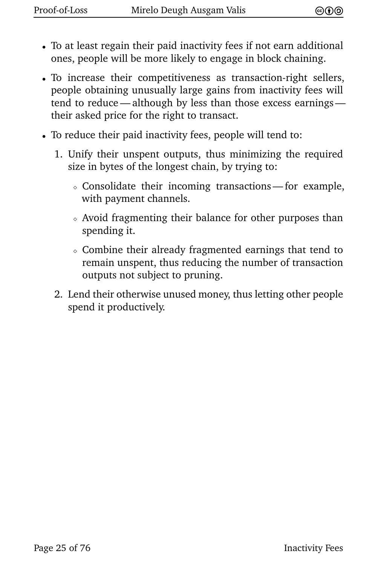- To at least regain their paid inactivity fees if not earn additional ones, people will be more likely to engage in block chaining.
- To increase their competitiveness as transaction-right sellers, people obtaining unusually large gains from inactivity fees will tend to reduce — although by less than those excess earnings their asked price for the right to transact.
- <span id="page-30-0"></span>• To reduce their paid inactivity fees, people will tend to:
	- 1. Unify their unspent outputs, thus minimizing the required size in bytes of the longest chain, by trying to:
		- <sup>⋄</sup> Consolidate their incoming transactions— for example, with payment channels.
		- <sup>⋄</sup> Avoid fragmenting their balance for other purposes than spending it.
		- <sup>⋄</sup> Combine their already fragmented earnings that tend to remain unspent, thus reducing the number of transaction outputs not subject to pruning.
	- 2. Lend their otherwise unused money, thus letting other people spend it productively.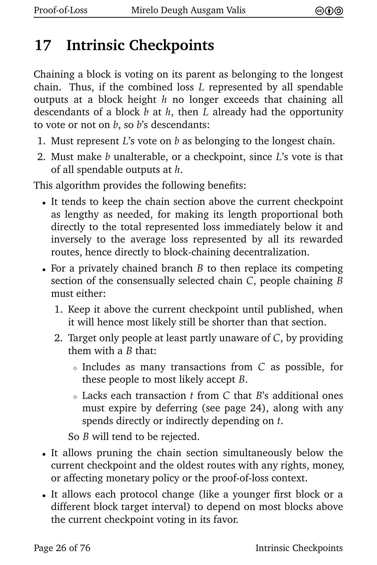## <span id="page-31-0"></span>**17 Intrinsic Checkpoints**

Chaining a block is voting on its parent as belonging to the longest chain. Thus, if the combined loss *L* represented by all spendable outputs at a block height *h* no longer exceeds that chaining all descendants of a block *b* at *h*, then *L* already had the opportunity to vote or not on *b*, so *b*'s descendants:

- 1. Must represent *L*'s vote on *b* as belonging to the longest chain.
- 2. Must make *b* unalterable, or a checkpoint, since *L*'s vote is that of all spendable outputs at *h*.

This algorithm provides the following benefits:

- It tends to keep the chain section above the current checkpoint as lengthy as needed, for making its length proportional both directly to the total represented loss immediately below it and inversely to the average loss represented by all its rewarded routes, hence directly to block-chaining decentralization.
- For a privately chained branch *B* to then replace its competing section of the consensually selected chain *C*, people chaining *B* must either:
	- 1. Keep it above the current checkpoint until published, when it will hence most likely still be shorter than that section.
	- 2. Target only people at least partly unaware of *C*, by providing them with a *B* that:
		- <sup>⋄</sup> Includes as many transactions from *C* as possible, for these people to most likely accept *B*.
		- <sup>⋄</sup> Lacks each transaction *t* from *C* that *B*'s additional ones must expire by deferring (see page [24\)](#page-29-1), along with any spends directly or indirectly depending on *t*.

So *B* will tend to be rejected.

- It allows pruning the chain section simultaneously below the current checkpoint and the oldest routes with any rights, money, or affecting monetary policy or the proof-of-loss context.
- It allows each protocol change (like a younger first block or a different block target interval) to depend on most blocks above the current checkpoint voting in its favor.

Page 26 of 76 Intrinsic Checkpoints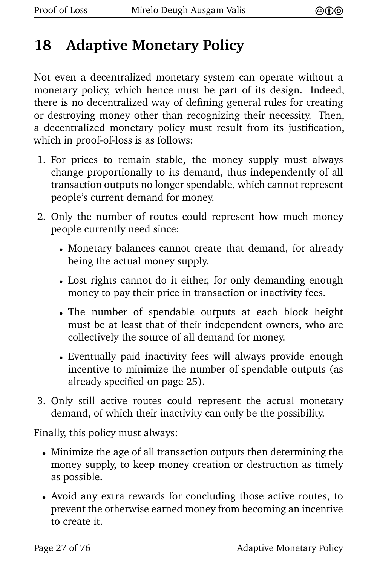#### <span id="page-32-0"></span>**18 Adaptive Monetary Policy**

Not even a decentralized monetary system can operate without a monetary policy, which hence must be part of its design. Indeed, there is no decentralized way of defining general rules for creating or destroying money other than recognizing their necessity. Then, a decentralized monetary policy must result from its justification, which in proof-of-loss is as follows:

- 1. For prices to remain stable, the money supply must always change proportionally to its demand, thus independently of all transaction outputs no longer spendable, which cannot represent people's current demand for money.
- 2. Only the number of routes could represent how much money people currently need since:
	- Monetary balances cannot create that demand, for already being the actual money supply.
	- Lost rights cannot do it either, for only demanding enough money to pay their price in transaction or inactivity fees.
	- The number of spendable outputs at each block height must be at least that of their independent owners, who are collectively the source of all demand for money.
	- Eventually paid inactivity fees will always provide enough incentive to minimize the number of spendable outputs (as already specified on page [25\)](#page-30-0).
- 3. Only still active routes could represent the actual monetary demand, of which their inactivity can only be the possibility.

Finally, this policy must always:

- Minimize the age of all transaction outputs then determining the money supply, to keep money creation or destruction as timely as possible.
- Avoid any extra rewards for concluding those active routes, to prevent the otherwise earned money from becoming an incentive to create it.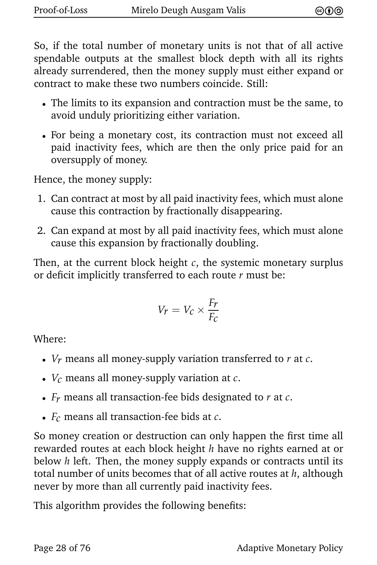So, if the total number of monetary units is not that of all active spendable outputs at the smallest block depth with all its rights already surrendered, then the money supply must either expand or contract to make these two numbers coincide. Still:

- The limits to its expansion and contraction must be the same, to avoid unduly prioritizing either variation.
- For being a monetary cost, its contraction must not exceed all paid inactivity fees, which are then the only price paid for an oversupply of money.

Hence, the money supply:

- 1. Can contract at most by all paid inactivity fees, which must alone cause this contraction by fractionally disappearing.
- 2. Can expand at most by all paid inactivity fees, which must alone cause this expansion by fractionally doubling.

Then, at the current block height *c*, the systemic monetary surplus or deficit implicitly transferred to each route *r* must be:

$$
V_r = V_c \times \frac{F_r}{F_c}
$$

Where:

- *Vr* means all money-supply variation transferred to *r* at *c*.
- *Vc* means all money-supply variation at *c*.
- *Fr* means all transaction-fee bids designated to *r* at *c*.
- *Fc* means all transaction-fee bids at *c*.

So money creation or destruction can only happen the first time all rewarded routes at each block height *h* have no rights earned at or below *h* left. Then, the money supply expands or contracts until its total number of units becomes that of all active routes at *h*, although never by more than all currently paid inactivity fees.

This algorithm provides the following benefits: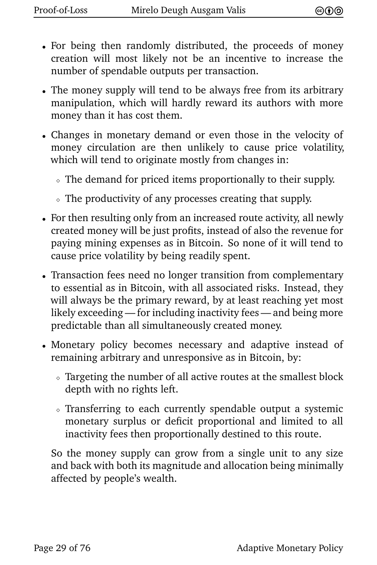- For being then randomly distributed, the proceeds of money creation will most likely not be an incentive to increase the number of spendable outputs per transaction.
- The money supply will tend to be always free from its arbitrary manipulation, which will hardly reward its authors with more money than it has cost them.
- Changes in monetary demand or even those in the velocity of money circulation are then unlikely to cause price volatility, which will tend to originate mostly from changes in:
	- <sup>⋄</sup> The demand for priced items proportionally to their supply.
	- <sup>⋄</sup> The productivity of any processes creating that supply.
- For then resulting only from an increased route activity, all newly created money will be just profits, instead of also the revenue for paying mining expenses as in Bitcoin. So none of it will tend to cause price volatility by being readily spent.
- Transaction fees need no longer transition from complementary to essential as in Bitcoin, with all associated risks. Instead, they will always be the primary reward, by at least reaching yet most likely exceeding — for including inactivity fees— and being more predictable than all simultaneously created money.
- Monetary policy becomes necessary and adaptive instead of remaining arbitrary and unresponsive as in Bitcoin, by:
	- <sup>⋄</sup> Targeting the number of all active routes at the smallest block depth with no rights left.
	- <sup>⋄</sup> Transferring to each currently spendable output a systemic monetary surplus or deficit proportional and limited to all inactivity fees then proportionally destined to this route.

So the money supply can grow from a single unit to any size and back with both its magnitude and allocation being minimally affected by people's wealth.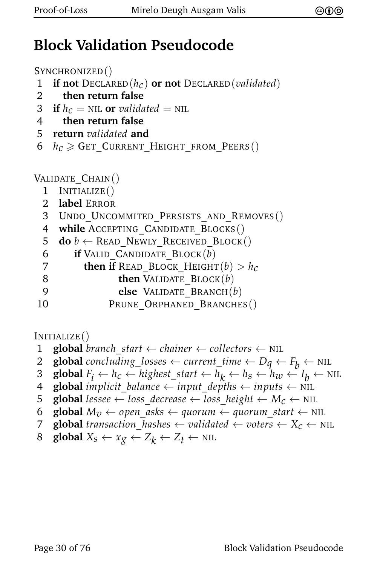#### **Block Validation Pseudocode**

```
SYNCHRONIZED()
```
- 1 **if not** DECLARED(*hc*) **or not** DECLARED(*validated*)
- 2 **then return false**
- **3** if  $h_c = \text{NIL}$  or *validated* = NIL
- 4 **then return false**
- 5 **return** *validated* **and**
- 6  $h_c \geqslant$  Get Current Height from Peers()

VALIDATE\_CHAIN()

- 1 INITIALIZE()
- 2 **label** ERROR
- 3 UNDO UNCOMMITED PERSISTS AND REMOVES()
- 4 **while** ACCEPTING\_CANDIDATE\_BLOCKS()
- 5 **do**  $b \leftarrow$  READ\_NEWLY\_RECEIVED\_BLOCK()
- 6 **if** VALID\_CANDIDATE\_BLOCK(*b*)
- **then if** READ BLOCK HEIGHT $(b) > h_c$
- 8 **then** VALIDATE BLOCK(*b*)
- 9 **else** VALIDATE\_BRANCH(*b*)
- 10 PRUNE ORPHANED BRANCHES()

#### INITIALIZE()

- 1 **global** *branch start*  $\leftarrow$  *chainer*  $\leftarrow$  *collectors*  $\leftarrow$  NIL
- 2 **global** concluding losses  $\leftarrow$  current time  $\leftarrow D_q \leftarrow F_b \leftarrow \text{NIL}$ <br>3 **global**  $F_i \leftarrow h_c \leftarrow$  highest start  $\leftarrow h_i \leftarrow h_s \leftarrow h_w \leftarrow I_h \leftarrow \text{N}$
- 3 **global**  $F_i \leftarrow h_c \leftarrow highest\_start \leftarrow h_k \leftarrow h_s \leftarrow h_w \leftarrow I_b \leftarrow \text{NIL}$
- 4 **global** *implicit* balance  $\leftarrow$  *input* depths  $\leftarrow$  *inputs*  $\leftarrow$  NIL
- 5 **global** lessee  $\leftarrow$  loss decrease  $\leftarrow$  loss height  $\leftarrow$   $M_c \leftarrow$  NIL
- 6 **global**  $M_v \leftarrow$  *open\_asks*  $\leftarrow$  *quorum*  $\leftarrow$  *quorum\_start*  $\leftarrow$  NIL
- 7 **global** *transaction*\_*hashes* ← *validated* ← *voters* ← *Xc* ← NIL
- 8 **global**  $X_s \leftarrow x_g \leftarrow Z_k \leftarrow Z_t \leftarrow \text{NIL}$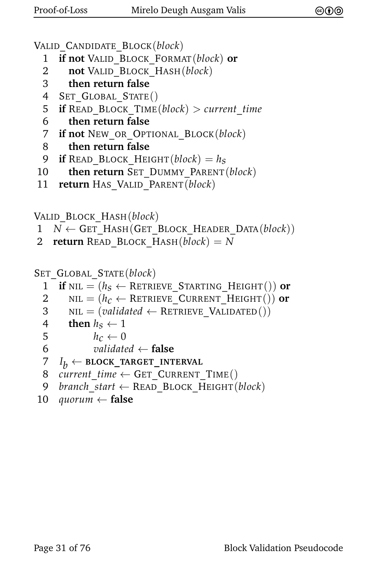```
VALID_CANDIDATE_BLOCK(block)
```
- 1 **if not** VALID\_BLOCK\_FORMAT(*block*) **or**
- 2 **not** VALID\_BLOCK\_HASH(*block*)
- 3 **then return false**
- 4 SET GLOBAL STATE()
- 5 **if** READ\_BLOCK\_TIME(*block*) > *current*\_*time*
- 6 **then return false**
- 7 **if not** NEW\_OR\_OPTIONAL\_BLOCK(*block*)
- 8 **then return false**
- 9 **if** READ\_BLOCK\_HEIGHT $(block) = h<sub>S</sub>$
- 10 **then return** SET\_DUMMY\_PARENT(*block*)
- 11 **return** HAS\_VALID\_PARENT(*block*)

```
VALID_BLOCK_HASH(block)
```
- $1 \quad N \leftarrow$  GET HASH(GET BLOCK HEADER DATA(*block*))
- 2 **return** READ BLOCK HASH( $block$ ) = *N*

```
SET_GLOBAL_STATE(block)
```
- 1 **if** NIL =  $(h_S \leftarrow$  RETRIEVE\_STARTING\_HEIGHT()) **or**<br>2 NIL =  $(h_C \leftarrow$  RETRIEVE CURRENT HEIGHT()) **or**
- 2 NIL =  $(h_c \leftarrow$  RETRIEVE\_CURRENT\_HEIGHT()) **or**<br>3 NIL =  $\left(\text{validated} \leftarrow$  RETRIEVE VALIDATED())
- $NIL = (validated \leftarrow RETRIEVEVALIDATED())$
- 4 **then**  $h_S \leftarrow 1$ <br>5  $h_C \leftarrow 0$
- 5  $h_c \leftarrow 0$ <br>6 *validate*
- 6 *validated* ← **false**
- 7 *I*  $I_h \leftarrow$  **BLOCK\_TARGET\_INTERVAL**
- 8 *current time*  $\leftarrow$  GET CURRENT TIME()
- 9 *branch*\_*start* ← READ\_BLOCK\_HEIGHT(*block*)

```
10 quorum ← false
```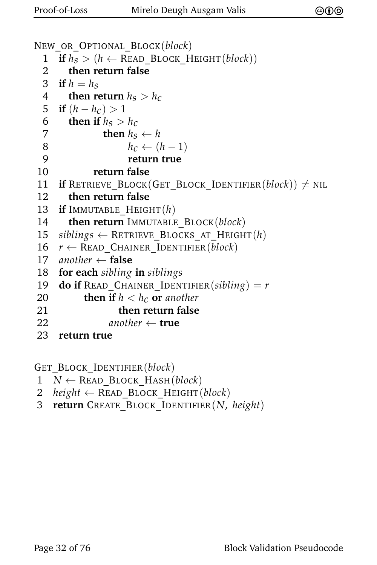```
NEW_OR_OPTIONAL_BLOCK(block)
  1 if h_s > (h \leftarrow \text{READ\_Block\_HEIGHT}(block))<br>2 then return false
         2 then return false
  3 if h = h_S4 then return h_S > h_C5 if (h - h_c) > 16 then if h_S > h_C<br>7 then h_Sthen h_S \leftarrow h8 h_c \leftarrow (h-1)<br>9 return true
                         9 return true
10 return false
11 if RETRIEVE_BLOCK(GET_BLOCK_IDENTIFIER(block)) \neq NIL
 12 then return false
13 if IMMUTABLE_HEIGHT(h)
14 then return IMMUTABLE_BLOCK(block)<br>15 siblings \leftarrow RETRIEVE BLOCKS AT_HEIGH
15 siblings ← RETRIEVE_BLOCKS_AT_HEIGHT(h)<br>16 r \leftarrow READ CHAINER IDENTIFIER(block)
      r \leftarrow READ CHAINER IDENTIFIER(block)
17 another \leftarrow false<br>18 for each sibling
      18 for each sibling in siblings
19 do if READ CHAINER IDENTIFIER(sibling) = r20 then if h < h_c or another<br>21 then return false
                      21 then return false
22 another \leftarrow true
23 return true
```
GET\_BLOCK\_IDENTIFIER(*block*)

- $1 \quad N \leftarrow$  READ BLOCK HASH(*block*)
- 2 *height* ← READ\_BLOCK\_HEIGHT(*block*)
- 3 **return** CREATE\_BLOCK\_IDENTIFIER(*N*, *height*)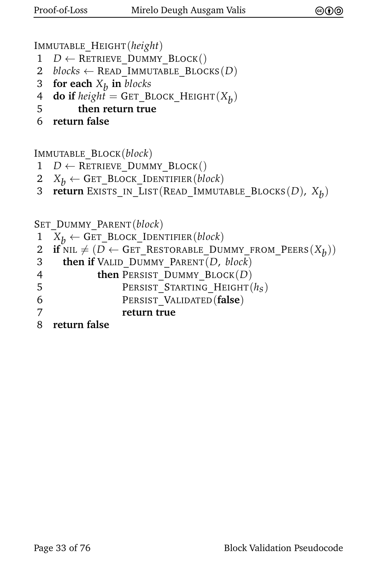IMMUTABLE\_HEIGHT(*height*)

- 1 *D* ← RETRIEVE\_DUMMY\_BLOCK()
- 2 *blocks*  $\leftarrow$  READ IMMUTABLE BLOCKS(*D*)
- 3 **for each** *Xb* **in** *blocks*
- $\boldsymbol{A}$  **do if**  $height = \texttt{GET\_Block\_HEIGHT}(X_b)$
- 5 **then return true**
- 6 **return false**

IMMUTABLE\_BLOCK(*block*)

- $1$  *D* ← RETRIEVE\_DUMMY\_BLOCK()
- 2  $X_b \leftarrow$  GET\_BLOCK\_IDENTIFIER(*block*)<br>3 **return** EXISTS IN LIST(READ IMMUT.
- 3 **return** Exists\_IN\_LIST(READ\_IMMUTABLE\_BLOCKS(*D*),  $X_b$ )

SET\_DUMMY\_PARENT(*block*)

- 1  $X_b \leftarrow$  GET\_BLOCK\_IDENTIFIER(*block*)<br>2 **if** NIL  $\neq$  (*D*  $\leftarrow$  GET RESTORABLE DUI
- 2 **if**  $NIL \neq (D \leftarrow GET\_RESTORABLE\_DUMMY\_FROM\_PEERS(X_b))$
- 3 **then if** VALID\_DUMMY\_PARENT(*D*, *block*)
- 4 **then** PERSIST DUMMY BLOCK(D)
- 5 **PERSIST\_STARTING\_HEIGHT** $(h<sub>S</sub>)$ <br>6 **PERSIST** VALIDATED (**false**)
	- PERSIST VALIDATED(**false**)
- 7 **return true**
- 8 **return false**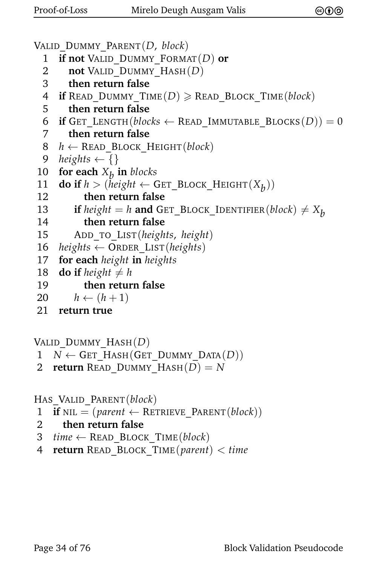```
VALID_DUMMY_PARENT(D, block)
 1 if not VALID_DUMMY_FORMAT(D) or
 2 not VALID_DUMMY_HASH(D)
 3 then return false
 4 if READ DUMMY TIME(D) \geqslant READ BLOCK TIME(block)
 5 then return false
 6 if GET LENGTH(blocks \leftarrow READ IMMUTABLE BLOCKS(D)) = 0
 7 then return false
 8 h \leftarrow READ BLOCK HEIGHT(block)
 9 heights \leftarrow {}
10 for each X_b in blocks
11 do if h > (height \leftarrow GET_BLOCK_HEIGHT(X_b))
12 then return false
13 if height = h and GET_BLOCK_IDENTIFIER(block) \neq X_b<br>14 hen return false
          14 then return false
15 ADD_TO_LIST(heights, height)
16 heights ← ORDER_LIST(heights)
17 for each height in heights 18 do if height \neq h
     do if height \neq h19 then return false
20 h \leftarrow (h+1)21 return true
```
VALID\_DUMMY\_HASH(*D*)

- $1 \quad N \leftarrow$  GET\_HASH(GET\_DUMMY\_DATA(*D*))
- 2 **return** READ\_DUMMY\_HASH $(D) = N$

HAS\_VALID\_PARENT(*block*)

- 1 **if** NIL =  $(\text{parent} \leftarrow \text{REFRIEVE} \text{ PARENT}(block))$
- 2 **then return false**
- 3  $time \leftarrow$  READ BLOCK TIME(*block*)
- 4 **return** READ\_BLOCK\_TIME(*parent*) < *time*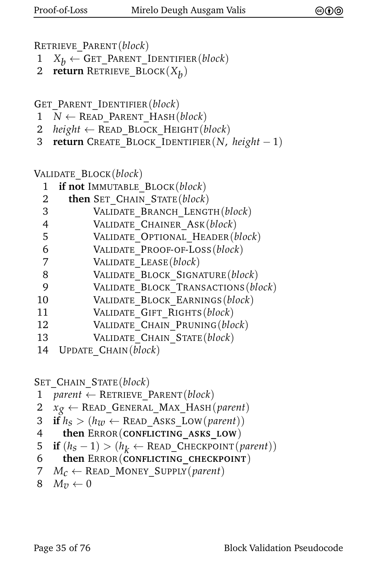RETRIEVE\_PARENT(*block*)

- 1  $X_b$  ← GET\_PARENT\_IDENTIFIER(*block*)<br>2 **return** RETRIEVE BLOCK( $X_L$ )
- 2 **return** Retrieve\_Block( $X_b$ )

GET\_PARENT\_IDENTIFIER(*block*)

- $1 \quad N \leftarrow$  READ PARENT HASH(*block*)
- 2 *height*  $\leftarrow$  READ BLOCK HEIGHT(*block*)
- 3 **return** CREATE\_BLOCK\_IDENTIFIER(*N*, *height* − 1)

VALIDATE\_BLOCK(*block*)

|   | 1 if not IMMUTABLE BLOCK(block)  |
|---|----------------------------------|
| 2 | then SET CHAIN STATE (block)     |
| 3 | VALIDATE BRANCH LENGTH (block)   |
| 4 | VALIDATE CHAINER ASK (block)     |
| 5 | VALIDATE OPTIONAL HEADER (block) |
|   |                                  |

- 6 VALIDATE\_PROOF-OF-LOSS(*block*)
- 7 VALIDATE\_LEASE(*block*)
- 8 VALIDATE\_BLOCK\_SIGNATURE(*block*)
- 9 VALIDATE\_BLOCK\_TRANSACTIONS(*block*)
- 10 VALIDATE\_BLOCK\_EARNINGS(*block*)
- 11 VALIDATE\_GIFT\_RIGHTS(*block*)
- 12 VALIDATE\_CHAIN\_PRUNING(*block*)
- 13 VALIDATE\_CHAIN\_STATE(*block*)
- 14 UPDATE\_CHAIN(*block*)

SET\_CHAIN\_STATE(*block*)

- 1 *parent* ← RETRIEVE\_PARENT(*block*)
- 2  $x_g \leftarrow \text{READ\_GENERAL\_MAX\_HASH}(parent)$
- 3 **if**  $h_S > (h_{\text{W}} \leftarrow \text{READ\_ASKS\_Low}(\text{parent}))$
- 4 **then** ERROR(**CONFLICTING\_ASKS\_LOW**)
- 5 **if**  $(h_S 1) > (h_k \leftarrow \text{READ\_CHECKPONT}(parent))$
- 6 **then** ERROR(**CONFLICTING\_CHECKPOINT**)
- 7  $M_c \leftarrow$  READ\_MONEY\_SUPPLY(*parent*)

```
8 M_{7} \leftarrow 0
```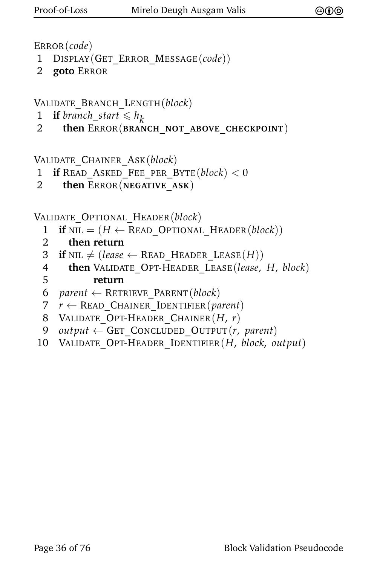ERROR(*code*)

- 1 DISPLAY(GET\_ERROR\_MESSAGE(*code*))
- 2 **goto** ERROR

VALIDATE\_BRANCH\_LENGTH(*block*)

- 1 **if** *branch\_start*  $\leq h_k$
- 2 **then** ERROR(**BRANCH\_NOT\_ABOVE\_CHECKPOINT**)

VALIDATE\_CHAINER\_ASK(*block*)

```
1 if READ_ASKED_FEE_PER_BYTE(block) < 0
```
2 **then** ERROR(**NEGATIVE\_ASK**)

VALIDATE\_OPTIONAL\_HEADER(*block*)

- 1 **if**  $NIL = (H \leftarrow READ$  OPTIONAL HEADER(*block*))
- 2 **then return**
- 3 **if** NIL  $\neq$  (*lease*  $\leftarrow$  READ\_HEADER<sub>LEASE</sub>(*H*))
- 4 **then** VALIDATE\_OPT-HEADER\_LEASE(*lease*, *H*, *block*)
- 5 **return**
- 6 *parent* ← RETRIEVE\_PARENT(*block*)
- 7 *r* ← READ\_CHAINER\_IDENTIFIER(*parent*)
- 8 VALIDATE\_OPT-HEADER\_CHAINER(*H*, *r*)
- 9 *output* ← GET\_CONCLUDED\_OUTPUT(*r*, *parent*)
- 10 VALIDATE\_OPT-HEADER\_IDENTIFIER(*H*, *block*, *output*)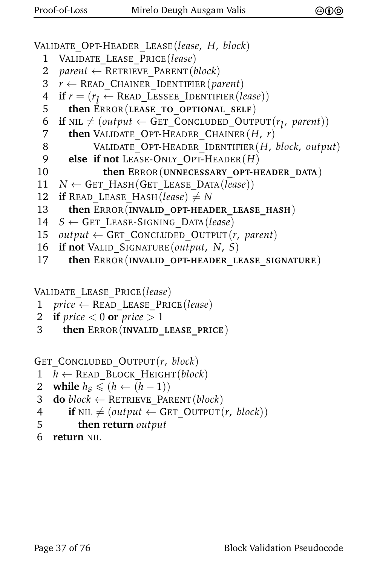```
VALIDATE_OPT-HEADER_LEASE(lease, H, block)
 1 VALIDATE_LEASE_PRICE(lease)
 2 parent ← RETRIEVE_PARENT(block)
 3 r \leftarrow READ CHAINER IDENTIFIER(parent)
  4 if r = (r_l \leftarrow \text{READ\_LESSEE\_IDENTIFIER(lease))5 then ERROR(LEASE_TO_OPTIONAL_SELF)
  6 if NIL \neq (output \leftarrow GET_CONCLUDED_OUTPUT(r_l, parent))
 7 then VALIDATE_OPT-HEADER_CHAINER(H, r)
 8 VALIDATE_OPT-HEADER_IDENTIFIER(H, block, output)
 9 else if not LEASE-ONLY_OPT-HEADER(H)
10 then ERROR(UNNECESSARY_OPT-HEADER_DATA)
11 N \leftarrow GET_HASH(GET_LEASE_DATA(lease))<br>12 if READ LEASE HASH(lease) \neq Nif READ LEASE HASH(lease) \neq N
13 then ERROR(INVALID_OPT-HEADER_LEASE_HASH)
14 S ← GET_LEASE-SIGNING_DATA(lease)
15 output \leftarrow GET_CONCLUDED_OUTPUT(r, parent)
16 if not VALID_SIGNATURE(output, N, S)
17 then ERROR(INVALID_OPT-HEADER_LEASE_SIGNATURE)
```
VALIDATE\_LEASE\_PRICE(*lease*)

- 1 *price* ← READ\_LEASE\_PRICE(*lease*)
- 2 **if**  $price < 0$  or  $price > 1$
- 3 **then** ERROR(**INVALID\_LEASE\_PRICE**)

```
GET_CONCLUDED_OUTPUT(r, block)
```
- $1$  *h* ← READ BLOCK HEIGHT(*block*)
- 2 **while**  $h_S \leq (h \leftarrow (h-1))$ <br>3 **do** block ← RETRIEVE PAR
- $\mathbf{d}\mathbf{o}$  *block*  $\leftarrow$  RETRIEVE PARENT(*block*)
- 4 **if** NIL  $\neq$  (*output*  $\leftarrow$  GET OUTPUT(*r*, *block*))
- 5 **then return** *output*
- 6 **return** NIL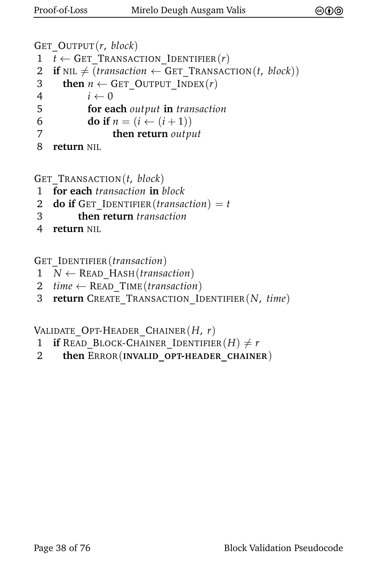```
GET_OUTPUT(r, block)
1 t \leftarrow GET TRANSACTION IDENTIFIER(r)2 if NIL \neq (transaction \leftarrow GET TRANSACTION(t, block))
3 then n \leftarrow GET_OUTPUT_INDEX(r)
4 i \leftarrow 05 for each output in transaction
6 do if n = (i \leftarrow (i + 1))7 then return output
8 return NIL
```
GET\_TRANSACTION(*t*, *block*)

- 1 **for each** *transaction* **in** *block*
- 2 **do if** GET IDENTIFIER(*transaction*) = *t*
- 3 **then return** *transaction*
- 4 **return** NIL

GET\_IDENTIFIER(*transaction*)

- 1 *N* ← READ\_HASH(*transaction*)
- 2  $time \leftarrow$  READ TIME(*transaction*)
- 3 **return** CREATE\_TRANSACTION\_IDENTIFIER(*N*, *time*)

VALIDATE\_OPT-HEADER\_CHAINER(*H*, *r*)

- 1 **if** READ BLOCK-CHAINER IDENTIFIER $(H) \neq r$
- 2 **then** ERROR(**INVALID\_OPT-HEADER\_CHAINER**)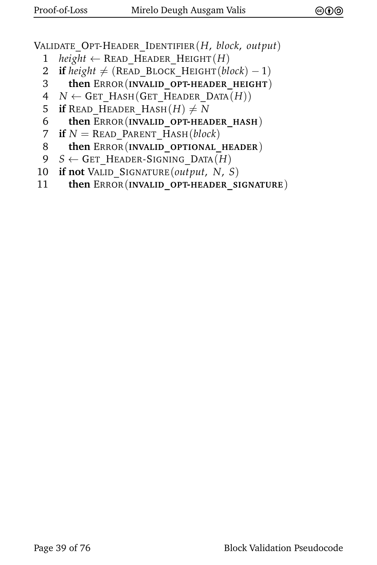VALIDATE\_OPT-HEADER\_IDENTIFIER(*H*, *block*, *output*)

- 1 *height*  $\leftarrow$  READ HEADER HEIGHT $(H)$
- 2 **if**  $height \neq (READ \ Block \ HeIGHT(block) 1)$
- 3 **then** ERROR(**INVALID\_OPT-HEADER\_HEIGHT**)
- $4$  *N* ← GET\_HASH(GET\_HEADER DATA $(H)$ )
- 5 **if** READ HEADER HASH $(H) \neq N$
- 6 **then** ERROR(**INVALID\_OPT-HEADER\_HASH**)
- 7 **if**  $N =$ READ\_PARENT\_HASH(*block*)
- 8 **then** ERROR(**INVALID\_OPTIONAL\_HEADER**)
- $9 \quad S \leftarrow$  GET\_HEADER-SIGNING\_DATA $(H)$
- 10 **if not** VALID\_SIGNATURE(*output*, *N*, *S*)
- 11 **then** ERROR(**INVALID\_OPT-HEADER\_SIGNATURE**)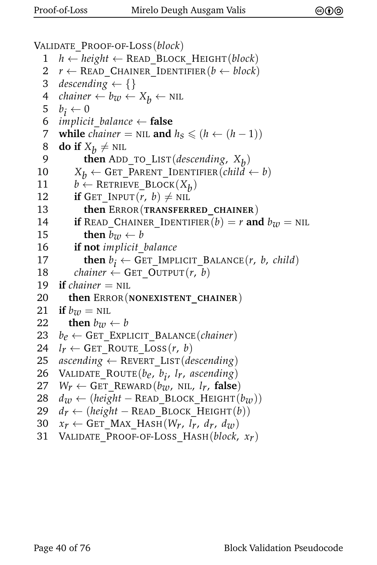```
VALIDATE_PROOF-OF-LOSS(block)
  1 h ← height ← READ_BLOCK_HEIGHT(block)
  2 r \leftarrow READ CHAINER IDENTIFIER(b \leftarrow block)
  3 descending \leftarrow {}
  4 chainer \leftarrow b_w \leftarrow X_b \leftarrow \text{NIL}5 b
       b_i \leftarrow 06 implicit balance \leftarrow false
  7 while chainer = NIL and h_S \leq (h \leftarrow (h-1))8 do if X_b \neq \text{NIL}9 then ADD_TO_LIST(descending, Xb
)
10 X_b \leftarrow GET_PARENT_IDENTIFIER(child \leftarrow b)<br>11 b \leftarrow RETRIEVE BLOCK(X_L)
 11 b \leftarrow RETRIEVE_BLOCK(X_b)
12 if GET INPUT(r, b) \neq NIL13 then ERROR(TRANSFERRED_CHAINER)
14 if READ_CHAINER_IDENTIFIER(b) = r and b<sub>w</sub> = NIL<br>15 then b<sub>w</sub> \leftarrow b
              then b_w \leftarrow b16 if not implicit_balance
 17 then b_i \leftarrow GET_IMPLICIT_BALANCE(r, b, child)
18 chainer \leftarrow GET OUTPUT(r, b)19 if chainer = NIL
20 then ERROR(NONEXISTENT_CHAINER)
21 if b_w = \text{NIL}<br>22 then b_{zw}then b_{\mathcal{U}} \leftarrow b23 b_e \leftarrow GET_EXPLICIT_BALANCE(chainer)
24 l_r \leftarrow GET_ROUTE_LOSS(r, b)<br>25 ascending \leftarrow REVERT LIST(de
       ascending \leftarrow REVERT_LIST(descending)
 26 VALIDATE_ROUTE(be, b
i
, lr, ascending)
27 W_r \leftarrow GET_REWARD(b_{\tau}, NIL, l_r, false)<br>28 d_{\tau}, \leftarrow (height – READ BLOCK HEIGHT(
28 d_w \leftarrow (height - READ_BLOCK_HEIGHT(b_w))<br>29 d_r \leftarrow (height - READ_BLOCK HEIGHT(b))d_r \leftarrow (height - READ_BLOCK_HEIGHT(b))30 x_r \leftarrow GET_MAX_HASH(W<sub>r</sub>, l<sub>r</sub>, d<sub>r</sub>, d<sub>w</sub>)<br>31 VALIDATE PROOF-OF-LOSS HASH(block,
```
31 VALIDATE\_PROOF-OF-LOSS\_HASH(*block*, *xr*)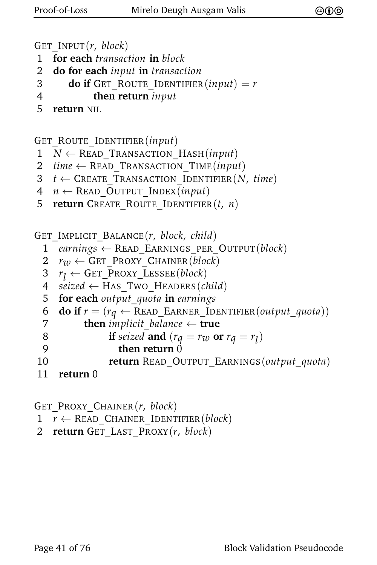```
GET_INPUT(r, block)
```
- 1 **for each** *transaction* **in** *block*
- 2 **do for each** *input* **in** *transaction*

```
3 do if GET_ROUTE_IDENTIFIER(input) = r
```
4 **then return** *input*

```
5 return NIL
```
GET ROUTE IDENTIFIER(*input*)

- $1 \quad N \leftarrow$  READ TRANSACTION HASH(*input*)
- 2 *time* ← READ\_TRANSACTION\_TIME(*input*)
- $3$  *t*  $\leftarrow$  CREATE\_TRANSACTION\_IDENTIFIER(*N*, *time*)
- 4 *n* ← READ\_OUTPUT\_INDEX(*input*)
- 5 **return** CREATE\_ROUTE\_IDENTIFIER(*t*, *n*)

GET\_IMPLICIT\_BALANCE(*r*, *block*, *child*)

- 1 *earnings* ← READ\_EARNINGS\_PER\_OUTPUT(*block*)
- $2 \rightharpoondown \rightharpoondown \rightharpoondown \rightharpoondown \rightharpoondown \rightharpoondown \rightharpoondown \rightharpoondown \rightharpoondown \rightharpoondown \rightharpoondown \rightharpoondown \rightharpoondown \rightharpoondown \rightharpoondown \rightharpoondown \rightharpoondown \rightharpoondown \rightharpoondown \rightharpoondown \rightharpoondown \rightharpoondown \rightharpoondown \rightharpoondown \rightharpoondown \rightharpoondown \rightharpoondown \rightharpoondown \rightharpoondown \rightharpoondown \rightharpoondown \r$
- 3 *r*  $r_1 \leftarrow$  GET PROXY LESSEE(*block*)
- 4 *seized* ← HAS\_TWO\_HEADERS(*child*)
- 5 **for each** *output*\_*quota* **in** *earnings*

```
6 do if r = (r_q \leftarrow \text{READ\_EARNING\_IDENTIFIER}(output\_quota))<br>7 then implicit balance \leftarrow true
```

```
8 if seized and (r_q = r_w \text{ or } r_q = r_l)
```
- 9 **then return** 0
- 10 **return** READ\_OUTPUT\_EARNINGS(*output*\_*quota*)

```
11 return 0
```

```
GET_PROXY_CHAINER(r, block)
1 r \leftarrow READ CHAINER IDENTIFIER(block)
2 return GET_LAST_PROXY(r, block)
```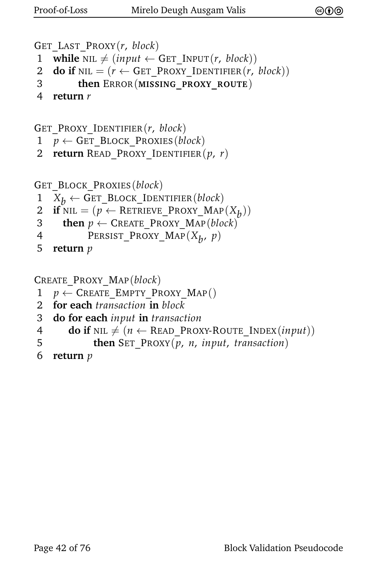```
GET_LAST_PROXY(r, block)
1 while NIL \neq (input \leftarrow GET INPUT(r, block))
2 do if NIL = (r \leftarrow GET PROXY IDENTIFIER(r, block))
3 then ERROR(MISSING_PROXY_ROUTE)
```

```
4 return r
```

```
GET_PROXY_IDENTIFIER(r, block)
```
- $1 p \leftarrow$  GET BLOCK PROXIES(*block*)
- 2 **return** READ\_PROXY\_IDENTIFIER(*p*, *r*)

```
GET_BLOCK_PROXIES(block)
```
- 1  $X_b \leftarrow$  GET\_BLOCK\_IDENTIFIER(*block*)<br>2 **if** NIL = ( $p \leftarrow$  RETRIEVE PROXY MAP
- 2 **if** NIL =  $(p \leftarrow$  RETRIEVE\_PROXY\_MAP $(X_b)$ )
- 3 **then**  $p \leftarrow$  CREATE\_PROXY\_MAP(*block*)
- 4 PERSIST\_PROXY\_MAP(*Xb* , *p*)
- 5 **return** *p*

```
CREATE_PROXY_MAP(block)
```
- $1 p \leftarrow$  CREATE\_EMPTY\_PROXY\_MAP()
- 2 **for each** *transaction* **in** *block*
- 3 **do for each** *input* **in** *transaction*
- 4 **do if**  $NIL \neq (n \leftarrow \text{READ\_PROXY-ROUTE\_INDEX}(input))$
- 5 **then** SET\_PROXY(*p*, *n*, *input*, *transaction*)
- 6 **return** *p*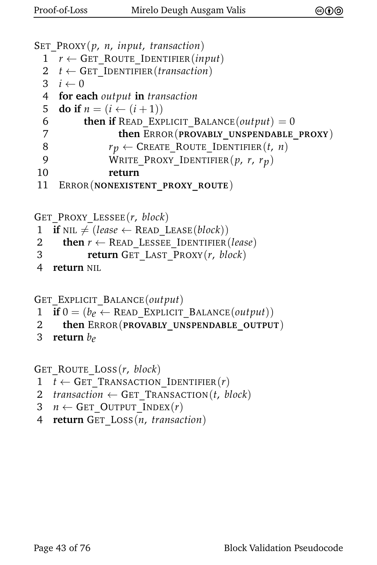```
SET_PROXY(p, n, input, transaction)
```

```
1 r \leftarrow GET ROUTE IDENTIFIER(input)
```

```
2 t \leftarrow GET_IDENTIFIER(transaction)
```

```
3 i \leftarrow 0
```

```
4 for each output in transaction
```

```
5 do if n = (i \leftarrow (i + 1))
```

```
6 then if READ EXPLICIT BALANCE(output) = 0
```

```
7 then ERROR(PROVABLY_UNSPENDABLE_PROXY)
```

```
8 r_p \leftarrow \text{CREATE\_ROUTE\_IDENTIFIER}(t, n)
```

```
9 WRITE_PROXY_IDENTIFIER(p, r, r<sub>p</sub>)<br>10 return
```

```
10 return
```

```
11 ERROR(NONEXISTENT_PROXY_ROUTE)
```

```
GET_PROXY_LESSEE(r, block)
```

```
1 if NIL \neq (lease \leftarrow READ LEASE(block))
```

```
2 then r \leftarrow READ_LESSEE_IDENTIFIER(lease)
```

```
3 return GET_LAST_PROXY(r, block)
```
4 **return** NIL

```
GET_EXPLICIT_BALANCE(output)
```

```
1 if 0 = (b_e \leftarrow \text{READ\_EXPLICIT\_BALANCE}(output))<br>2 then ERROR(PROVABLY UNSPENDABLE OUTPUT
```
- 2 **then** ERROR(**PROVABLY\_UNSPENDABLE\_OUTPUT**)
- 3 **return** *be*

GET\_ROUTE\_LOSS(*r*, *block*)

```
1 t \leftarrow GET TRANSACTION IDENTIFIER(r)
```

```
2 transaction \leftarrow GET TRANSACTION(t, block)
```

```
3 n \leftarrow GET_OUTPUT_INDEX(r)
```

```
4 return GET_LOSS(n, transaction)
```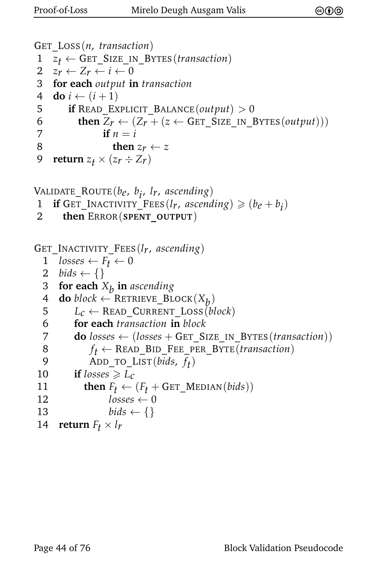```
GET_LOSS(n, transaction)
1 z_t \leftarrow GET_SIZE_IN_BYTES(transaction)<br>2 z_r \leftarrow Z_r \leftarrow i \leftarrow 0z_r \leftarrow Z_r \leftarrow i \leftarrow 03 for each output in transaction
4 do i ← (i + 1)5 if READ_EXPLICIT_BALANCE(output) > 0
6 then Z_r \leftarrow (Z_r + (z \leftarrow \text{GET\_SIZE\_IN\_BYTES}(output)))<br>7 if n = iif n = i8 then z_r \leftarrow z<br>9 return z_t \times (z_r \div Z_r)return z_t \times (z_r \div Z_r)VALIDATE_ROUTE(be, b
i
, lr, ascending)
 if GET_INACTIVITY_FEES(l_r, ascending) \geq (b_e + b_i)2 then ERROR(SPENT_OUTPUT)
GET_INACTIVITY_FEES(lr, ascending)
  1 losses \leftarrow F_t \leftarrow 02 bids \leftarrow \{\}3 for each Xb
in ascending
  \begin{array}{c} \textbf{4} \quad \textbf{do} \ block \leftarrow \text{REFRIEVE\_Block}(X_b) \end{array}5 L_c \leftarrow \text{READ\_CURRENT\_Loss}(block)<br>6 for each transaction in block
           6 for each transaction in block
  7 do losses \leftarrow (losses + GET SIZE IN BYTES(transaction))8 f_t \leftarrow \text{READ\_BID\_FEE\_PER\_BYTE}(transaction)9 ADD_TO_LIST(bids, f_t)
10 if losses \ge L_c11 then F_t \leftarrow (F_t + \text{GET\_MEDIAN}(bids))<br>12 losses \leftarrow 0losses \leftarrow 013 bids \leftarrow \{\}14 return F_f \times l_f
```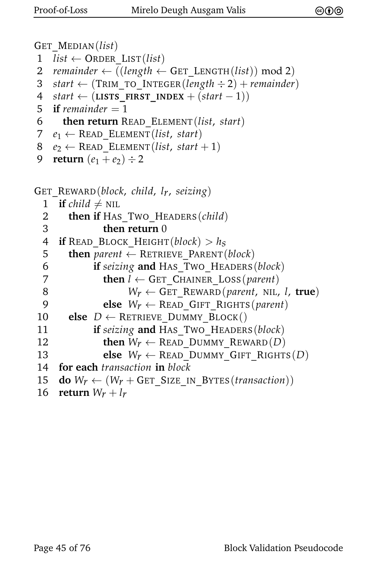```
GET_MEDIAN(list)
1 list \leftarrow ORDER LIST(list)
2 remainder \leftarrow ((length \leftarrow GET\_LENGTH(list)) \mod 2)3 start ← (TRIM_TO_INTEGER(length ÷ 2) + remainder)
4 start ← (LISTS FIRST INDEX + (start - 1))
5 if remainder = 16 then return READ_ELEMENT(list, start)
7 e_1 \leftarrow READ ELEMENT(list, start)
8 e_2 \leftarrow READ ELEMENT(list, start + 1)
9 return (e_1 + e_2) \div 2GET_REWARD(block, child, lr, seizing)
  1 if child \neq \text{NIL}2 then if HAS TWO HEADERS(child)
  3 then return 0
 4 if READ_BLOCK_HEIGHT(block) > h_s<br>5 then parent \leftarrow RETRIEVE PARENT(

  6 if seizing and HAS_TWO_HEADERS(block)
  7 then l \leftarrow GET CHAINER LOSS(parent)
  8 W<sub>r</sub> \leftarrow GET REWARD(parent, NIL, l, true)
  9 else W_r \leftarrow READ GIFT RIGHTS(parent)
10 else D ← RETRIEVE_DUMMY_BLOCK()
11 if seizing and HAS_TWO_HEADERS(block)
12 then W_r \leftarrow \text{READ} DUMMY REWARD(D)<br>13 else W_r \leftarrow \text{READ} DUMMY GIFT RIGHT.
               else W_r \leftarrow READ DUMMY GIFT RIGHTS(D)
14 for each transaction in block
15 do W_r \leftarrow (W_r + \text{GET\_SIZE\_IN\_ByrES}(transaction))<br>16 return W_r + l_r
```

```
return W_r + l_r
```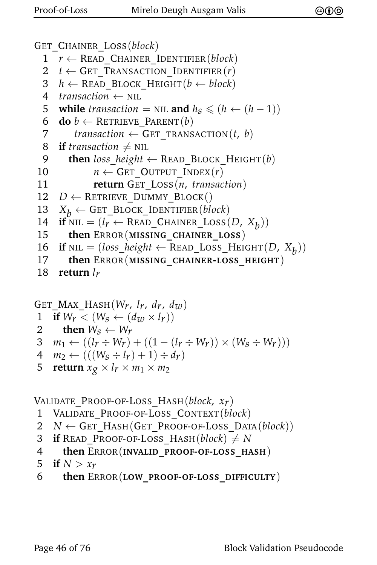```
GET_CHAINER_LOSS(block)
  1 r \leftarrow READ CHAINER IDENTIFIER(block)
  2 t \leftarrow GET TRANSACTION IDENTIFIER(r)3 h ← READ_BLOCK_HEIGHT(b ← block)
  4 transaction \leftarrow NIL
  5 while transaction = NIL and h_S \leq (h \leftarrow (h-1))<br>6 do b ← RETRIEVE PARENT(b)
     \mathbf{do}\;b \leftarrow RETRIEVE PARENT(b)7 transaction \leftarrow GET_TRANSACTION(t, b)
  8 if transaction \neq NIL
  9 then loss\_height \leftarrow READ_BLOCK_HEIGHT(b)
10 n \leftarrow GET OUTPUT INDEX(r)11 return GET_LOSS(n, transaction)
12 D \leftarrow RETRIEVE DUMMY BLOCK()
13 X_b \leftarrow GET_BLOCK_IDENTIFIER(block)<br>14 if NIL = (l_r \leftarrow READ CHAINER LOSS(
 14 if NIL = (l_r \leftarrow \text{READ\_CHAINER\_Loss}(D, X_b))15 then ERROR(MISSING_CHAINER_LOSS)
 16 if NIL = (loss\_height \leftarrow READ_loss\_HEIGHT(D, X_b))17 then ERROR(MISSING_CHAINER-LOSS_HEIGHT)
18 return lr
```

```
GET MAX HASH(W_r, l_r, d_r, d_w)1 if W_r < (W_s \leftarrow (d_w \times l_r))<br>
2 then W_s \leftarrow W_r2 then W_s \leftarrow W_r<br>3 m_1 \leftarrow ((l_r \div W_r))3 m<sub>1</sub> ← ((l_r \div W_r) + ((1 - (l_r \div W_r)) \times (W_s \div W_r)))<br>4 m<sub>2</sub> ← (((W_s \div l_r) + 1) \div dr)4 m_2 \leftarrow (((W_S \div l_T) + 1) \div d_T)<br>5 return x_o \times l_T \times m_1 \times m_2return x_g \times l_r \times m_1 \times m_2
```
VALIDATE\_PROOF-OF-LOSS\_HASH(*block*, *xr*)

- 1 VALIDATE\_PROOF-OF-LOSS\_CONTEXT(*block*)
- 2  $N \leftarrow$  GET HASH(GET PROOF-OF-LOSS DATA(*block*))
- 3 **if** READ\_PROOF-OF-LOSS\_HASH( $block$ )  $\neq$  *N*
- 4 **then** ERROR(**INVALID\_PROOF-OF-LOSS\_HASH**)

```
5 if N > x_r
```
6 **then** ERROR(**LOW\_PROOF-OF-LOSS\_DIFFICULTY**)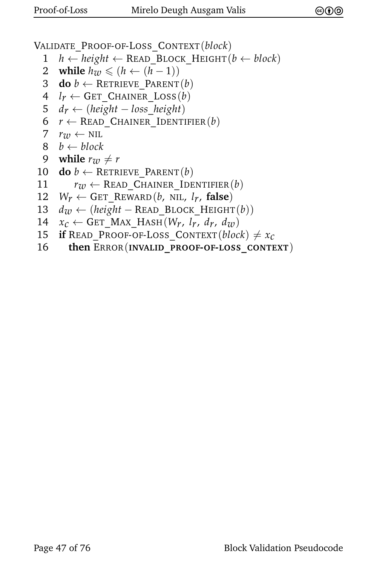VALIDATE\_PROOF-OF-LOSS\_CONTEXT(*block*)

- 1 *h* ← *height* ← READ\_BLOCK\_HEIGHT(*b* ← *block*)
- 2 while  $h_w \leq (h \leftarrow (h-1))$ <br>3 do  $b \leftarrow$  RETRIEVE PARENT
- $\mathbf{do}\;b \leftarrow$  RETRIEVE PARENT $(b)$
- 4  $l_r \leftarrow$  GET CHAINER LOSS(*b*)
- 5  $d_r \leftarrow (height loss \ height)$
- 6  $r \leftarrow$  READ CHAINER IDENTIFIER(*b*)
- 7  $r_{\text{7D}} \leftarrow \text{NIL}$
- $8 \quad b \leftarrow block$

```
9 while r_w \neq r
```
- 10 **do**  $b \leftarrow$  RETRIEVE PARENT(*b*)
- 11  $r_w \leftarrow \text{READ\_CHAPTER\_IDENTIFIER}(b)$ <br>12  $W_r \leftarrow \text{GET } \text{REWARD}(b, \text{ NIL}, l_r, \text{false})$
- $W_r \leftarrow$  GET\_REWARD(*b*, NIL, *l<sub>r</sub>*, **false**)
- 13 *dw* ← (*height* − READ\_BLOCK\_HEIGHT(*b*))
- 14  $x_c \leftarrow \text{GET\_MAX\_Hash}(W_r, l_r, d_r, d_w)$ <br>15 **if** READ PROOF-OF-LOSS CONTEXT(*bloc*
- **if** READ\_PROOF-OF-LOSS\_CONTEXT(*block*)  $\neq x_c$
- 16 **then** ERROR(**INVALID\_PROOF-OF-LOSS\_CONTEXT**)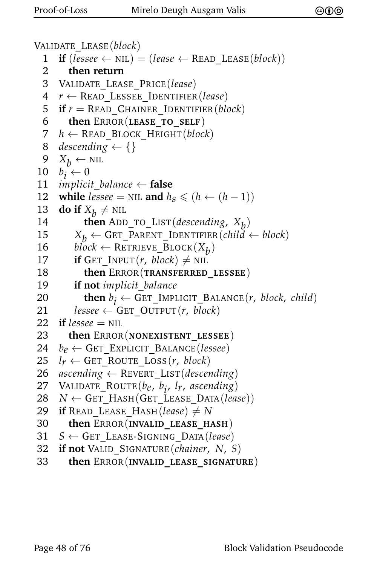```
VALIDATE_LEASE(block)
  1 if (lessee \leftarrow NIL) = (lease \leftarrow READ LEASE(block))
  2 then return
  3 VALIDATE_LEASE_PRICE(lease)
  4 r ← READ_LESSEE_IDENTIFIER(lease)
  5 if r = READ CHAINER IDENTIFIER(block)
  6 then ERROR(LEASE_TO_SELF)
  7 h ← READ_BLOCK_HEIGHT(block)
  8 descending \leftarrow {}
  9 X_h \leftarrow \text{NIL}10 b_i \leftarrow 011 implicit balance \leftarrow false
12 while lesse = \text{NIL} and h_s \leq (h \leftarrow (h-1))<br>13 do if X_h \neq \text{NIL}13 do if X_b \neq \text{NIL}14 then ADD_TO_LIST(descending, X<sub>b</sub>)
15 X_b \leftarrow GET_PARENT_IDENTIFIER(child \leftarrow block)<br>16 block \leftarrow RETRIEVE BLOCK(X_b)
 16 block ← RETRIEVE_BLOCK(X_b)17 if GET_INPUT(r, block) \neq NIL
18 then ERROR(TRANSFERRED_LESSEE)
19 if not implicit_balance
 20 then b_i \leftarrow GET_IMPLICIT_BALANCE(r, block, child)
21 lessee \leftarrow GET_OUTPUT(r, block)
22 if lessee = NIL
23 then ERROR(NONEXISTENT_LESSEE)
24 b<sub>e</sub> ← GET_EXPLICIT_BALANCE(lessee)<br>25 l<sub>r</sub> ← GET ROUTE LOSS(r, block)
      l_r \leftarrow GET_ROUTE_LOSS(r, block)
26 ascending \leftarrow REVERT LIST(descending)
 27 VALIDATE_ROUTE(be, b<sub>i</sub>, l<sub>r</sub>, ascending)
28 N \leftarrow GET HASH(GET LEASE DATA(lease))
29 if READ_LEASE_HASH(lease) \neq N
30 then ERROR(INVALID_LEASE_HASH)
31 S ← GET_LEASE-SIGNING_DATA(lease)
32 if not VALID_SIGNATURE(chainer, N, S)
```
33 **then** ERROR(**INVALID\_LEASE\_SIGNATURE**)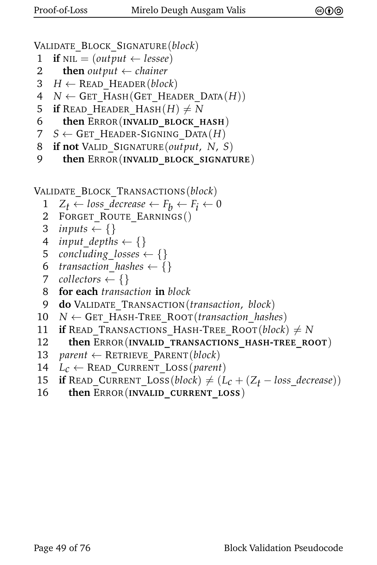```
VALIDATE_BLOCK_SIGNATURE(block)
```
- 1 **if**  $NIL = (output \leftarrow lessee)$
- 2 **then** *output*  $\leftarrow$  *chainer*
- 3  $H \leftarrow$  READ HEADER(*block*)
- $4$  *N* ← GET HASH(GET HEADER DATA $(H)$ )
- 5 **if** READ HEADER HASH $(H) \neq N$
- 6 **then** ERROR(**INVALID\_BLOCK\_HASH**)
- 7  $S \leftarrow$  GET\_HEADER-SIGNING\_DATA $(H)$
- 8 **if not** VALID\_SIGNATURE(*output*, *N*, *S*)
- 9 **then** ERROR(**INVALID\_BLOCK\_SIGNATURE**)

```
VALIDATE_BLOCK_TRANSACTIONS(block)
```
- 1  $Z_t \leftarrow loss\_decrease \leftarrow F_b \leftarrow F_i \leftarrow 0$ <br>2 FORGET ROUTE EARNINGS()
- 2 FORGET\_ROUTE\_EARNINGS()
- 3 *inputs*  $\left\{\right\}$
- 4 *input\_depths*  $\leftarrow$  {}
- 5 *concluding*\_losses  $\leftarrow \{\}$
- 6 *transaction\_hashes*  $\leftarrow$  {}
- 7 *collectors*  $\leftarrow$  {}
- 8 **for each** *transaction* **in** *block*
- 9 **do** VALIDATE\_TRANSACTION(*transaction*, *block*)
- 10 *N* ← GET\_HASH-TREE\_ROOT(*transaction*\_*hashes*)
- 11 **if** READ TRANSACTIONS HASH-TREE ROOT(*block*)  $\neq$  *N*
- 12 **then** ERROR(**INVALID\_TRANSACTIONS\_HASH-TREE\_ROOT**)
- 13 *parent*  $\leftarrow$  RETRIEVE PARENT(*block*)
- 14  $L_c \leftarrow$  READ\_CURRENT\_LOSS(*parent*)
- 15 **if** READ\_CURRENT\_LOSS(*block*)  $\neq (L_c + (Z_t loss\_decrease))$ <br>16 **then** ERROR(INVALID CURRENT LOSS)
- 16 **then** ERROR(**INVALID\_CURRENT\_LOSS**)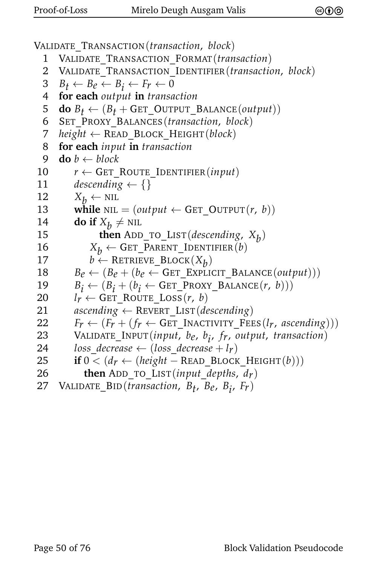VALIDATE\_TRANSACTION(*transaction*, *block*) 1 VALIDATE\_TRANSACTION\_FORMAT(*transaction*) 2 VALIDATE\_TRANSACTION\_IDENTIFIER(*transaction*, *block*)  $B_t \leftarrow B_e \leftarrow B_i \leftarrow F_r \leftarrow 0$ <br>4 **for each** output **in** transa **for each** *output* **in** *transaction* **do**  $B_t \leftarrow (B_t + \text{GET\_OUTPUT\_BALANCE}(output))$ <br>6 SET PROXY BALANCES (*transaction*, *block*) 6 SET\_PROXY\_BALANCES(*transaction*, *block*) *height* ← READ\_BLOCK\_HEIGHT(*block*) **for each** *input* **in** *transaction* **do**  $b \leftarrow block$  $r \leftarrow$  GET\_ROUTE\_IDENTIFIER(*input*) *descending*  $\leftarrow$  {}  $X_b \leftarrow \text{NIL}$ <br>13 **while** NIL  $\textbf{while} \text{ NIL} = (output \leftarrow \text{GET\_OUTPUT}(r, b))$ **do if**  $X_b \neq \text{NIL}$ **then** ADD\_TO\_LIST(*descending*,  $X_b$ )  $X_b \leftarrow$  GET\_PARENT\_IDENTIFIER(*b*)<br>17  $b \leftarrow$  RETRIEVE BLOCK( $X_b$ )  $b \leftarrow$  RETRIEVE\_BLOCK(*X<sub>b</sub>*)  $B_e \leftarrow (B_e + (b_e \leftarrow \text{GET} \text{ EXPLICIT} \text{ BALANCE}(output)))$  $B_i \leftarrow (B_i + (b_i \leftarrow \text{GET\_PROXY\_BALANCE}(r, b)))$  $l_r \leftarrow$  GET\_ROUTE\_LOSS(*r*, *b*)<br>21 *ascending*  $\leftarrow$  REVERT LIST(*de ascending* ← REVERT\_LIST(*descending*)  $F_r \leftarrow (F_r + (f_r \leftarrow \text{GET\_INACTIVITY\_FEEs}(l_r, ascending)))$ <br>23 VALIDATE INPUT(*input*, *b<sub>e</sub>*, *b<sub>i</sub>*, *fr*, *output*, *transaction*) 23 VALIDATE\_INPUT(*input*, *be*, *b i* , *fr*, *output*, *transaction*) *loss\_decrease*  $\leftarrow$  (*loss\_decrease* + *l<sub>r</sub>*)<br>25 **if** 0 < (*d<sub>r</sub>*  $\leftarrow$  (*height* – READ BLOCE **if**  $0 < (d_r \leftarrow (height - READ_BLOCK_HEIGHT(b)))$ <br>26 **then** ADD TO LIST(*input depths. dv*) **then** ADD\_TO\_LIST(*input\_depths*,  $d_r$ ) 27 VALIDATE\_BID(*transaction*, *Bt* , *Be*, *Bi* , *Fr*)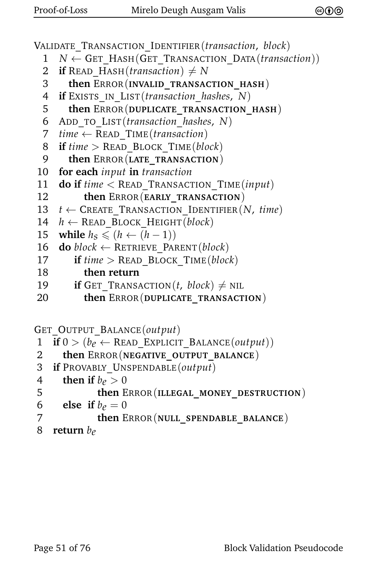VALIDATE\_TRANSACTION\_IDENTIFIER(*transaction*, *block*) *N* ← GET\_HASH(GET\_TRANSACTION\_DATA(*transaction*)) **if** READ HASH(*transaction*)  $\neq$  *N*  **then** ERROR(**INVALID\_TRANSACTION\_HASH**) **if** EXISTS\_IN\_LIST(*transaction*\_*hashes*, *N*) **then** ERROR(**DUPLICATE\_TRANSACTION\_HASH**) 6 ADD\_TO\_LIST(*transaction*\_*hashes*, *N*) *time* ← READ\_TIME(*transaction*) **if** *time* > READ\_BLOCK\_TIME(*block*) **then** ERROR(**LATE\_TRANSACTION**) **for each** *input* **in** *transaction* **do if** *time* < READ\_TRANSACTION\_TIME(*input*) **then** ERROR(**EARLY\_TRANSACTION**)  $t \leftarrow$  CREATE TRANSACTION IDENTIFIER(*N*, *time*)  $h \leftarrow \text{READ\_Block\_HEIGHT}(block)$ <br>15 **while**  $h_s \leq (h \leftarrow (h-1))$ **while**  $h_S \leq (h \leftarrow (h-1))$ **do**  $block \leftarrow$  RETRIEVE PARENT(*block*) **if** *time* > READ\_BLOCK\_TIME(*block*) **then return if** GET TRANSACTION(*t*, *block*)  $\neq$  NIL **then** ERROR(**DUPLICATE\_TRANSACTION**) GET\_OUTPUT\_BALANCE(*output*)

```
1 if 0 > (b_e \leftarrow \text{READ\_EXPLICIT\_BALANCE}(output))<br>2 then ERROR(NEGATIVE OUTPUT BALANCE)
       2 then ERROR(NEGATIVE_OUTPUT_BALANCE)
3 if PROVABLY_UNSPENDABLE(output)
4 then if b_e > 0<br>5 then E
```

```
5 then ERROR(ILLEGAL_MONEY_DESTRUCTION)
```

```
6 else if b_e = 0<br>7 then E
```

```
7 then ERROR(NULL_SPENDABLE_BALANCE)
```

```
8 return be
```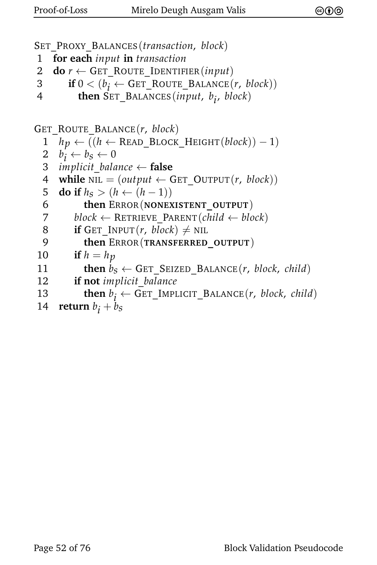```
SET_PROXY_BALANCES(transaction, block)
1 for each input in transaction
2 do r \leftarrow GET ROUTE IDENTIFIER(input)
3 if 0 < (b_i \leftarrow GET_ROUTE_BALANCE(r, block))
4 then SET_BALANCES(input, b
i
, block)
GET_ROUTE_BALANCE(r, block)
  1 hp ← ((h ← READ_BLOCK_HEIGHT(block)) − 1)
 2 b
     b_i \leftarrow b_S \leftarrow 03 implicit balance \leftarrow false
  4 while NIL = (output \leftarrow GET OUTPUT(r, block))
 5 do if h_S > (h \leftarrow (h-1))<br>6 then ERROR(NONEX
           6 then ERROR(NONEXISTENT_OUTPUT)
  7 block \leftarrow RETRIEVE PARENT(child \leftarrow block)
  8 if GET_INPUT(r, block) \neq NIL
  9 then ERROR(TRANSFERRED_OUTPUT)
10 if h = h_p11 then b_S \leftarrow GET_SEIZED_BALANCE(r, block, child)
12 if not implicit_balance
13 then b_i \leftarrow GET_IMPLICIT_BALANCE(r, block, child)
```

```
14 return b_i + b_s
```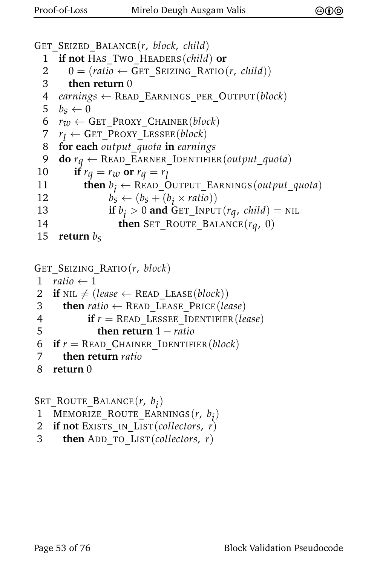```
GET_SEIZED_BALANCE(r, block, child)
 1 if not HAS_TWO_HEADERS(child) or
 2 0 = (ratio \leftarrow GET\_SEIZING\_RATIO(r, child))3 then return 0
 4 earnings ← READ_EARNINGS_PER_OUTPUT(block)
 5 b_S \leftarrow 0<br>6 r_W \leftarrow 0r_w \leftarrow GET_PROXY_CHAINER(block)
 7 r
     r_1 \leftarrow GET_PROXY_LESSEE(block)
 8 for each output_quota in earnings
 9 do rq ← READ_EARNER_IDENTIFIER(output_quota)
10 if rq = rw or rq = r_l11 then b_i \leftarrow \text{READ\_OUTPUT\_EARNING}(output\_quota)12 b_s \leftarrow (b_s + (b_i \times ratio))13 if b_j > 0 and GET_INPUT(rq, child) = NIL
14 then SET_ROUTE_BALANCE(rq, 0)
15 return bs
```

```
GET_SEIZING_RATIO(r, block)
1 ratio \leftarrow 12 if NIL \neq (lease \leftarrow READ LEASE(block))
3 then ratio ← READ_LEASE_PRICE(lease)
4 if r = \text{READ} LESSEE IDENTIFIER(lease)
5 then return 1 − ratio
6 if r = \text{READ} CHAINER IDENTIFIER(block)
7 then return ratio
```

```
8 return 0
```
SET\_ROUTE\_BALANCE(*r*, *b i* )

- 1 MEMORIZE\_ROUTE\_EARNINGS(*r*, *b i* )
- 2 **if not** EXISTS\_IN\_LIST(*collectors*, *r*)
- 3 **then** ADD\_TO\_LIST(*collectors*, *r*)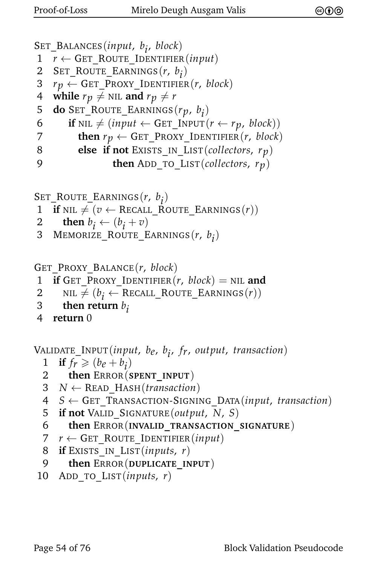```
SET_BALANCES(input, b
i
, block)
1 r \leftarrow GET_ROUTE_IDENTIFIER(input)
2 SET_ROUTE_EARNINGS(r, b
i
)
3 r_p \leftarrow GET_PROXY_IDENTIFIER(r, block)<br>4 while r_p \neq NIL and r_p \neq rwhile r_p \neq \text{NIL} and r_p \neq r5 do SET_ROUTE_EARNINGS(rp, b
i
)
6 if NIL \neq (input \leftarrow GET_INPUT(r \leftarrow r_p, block))
7 then r_p \leftarrow GET_PROXY_IDENTIFIER(r, block)
8 else if not EXISTS_IN_LIST(collectors, rp)
9 then ADD_TO_LIST(collectors, rp)
```

```
SET_ROUTE_EARNINGS(r, b
i
)
```

```
1 if NIL \neq (v \leftarrow \text{RECALL}\_ROUTE\_EARNINGS(r))
```
2 **then**  $b_i \leftarrow (b_i + v)$ 

```
3 MEMORIZE_ROUTE_EARNINGS(r, b
i
)
```

```
GET_PROXY_BALANCE(r, block)
1 if GET_PROXY_IDENTIFIER(r, block) = \text{NIL} and
```

```
2 NIL \neq (b_i \leftarrow \text{RECALL}\text{-ROUTE}\text{-} \text{EARNING}(r))
```

```
3 then return b_i
```

```
4 return 0
```
VALIDATE\_INPUT(*input*, *be*, *b i* , *fr*, *output*, *transaction*)

```
1 if f_r \geq (b_e + b_i)
```

```
2 then ERROR(SPENT_INPUT)
```

```
3 N ← READ_HASH(transaction)
```

```
4 S ← GET_TRANSACTION-SIGNING_DATA(input, transaction)
```

```
5 if not VALID_SIGNATURE(output, N, S)
```

```
6 then ERROR(INVALID_TRANSACTION_SIGNATURE)
```

```
7 r \leftarrow GET ROUTE IDENTIFIER(input)
```

```
8 if EXISTS_IN_LIST(inputs, r)
```

```
9 then ERROR(DUPLICATE_INPUT)
```

```
10 ADD_TO_LIST(inputs, r)
```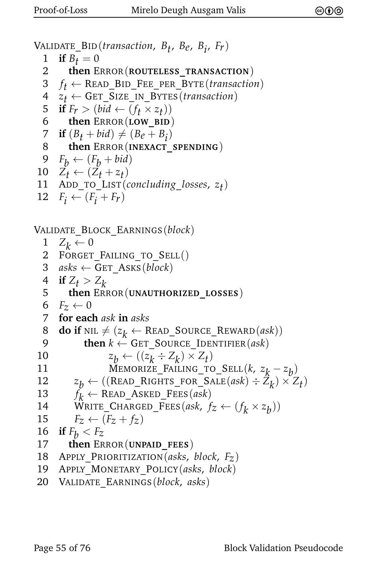```
VALIDATE_BID(transaction, Bt
, Be, Bi
, Fr)
  1 if B_t = 0<br>2 then E
         2 then ERROR(ROUTELESS_TRANSACTION)
  3 f_t \leftarrow \text{READ\_BID\_FEE\_PER\_BYTE}(transition)4 \quad z_t \leftarrow GET_SIZE_IN_BYTES (transaction)<br>5 if F_r > (bid \leftarrow (f_t \times z_t))5 if F_r > (bid \leftarrow (f_t \times z_t))6 then ERROR(LOW_BID)
  7 if (B_t + bid) \neq (B_e + B_i)8 then ERROR(INEXACT_SPENDING)
  9 F_h \leftarrow (F_h + bid)10 Z_t \leftarrow (Z_t + z_t)11 ADD_TO_LIST(concluding_losses, zt
)
12 F_i \leftarrow (F_i + F_r)VALIDATE_BLOCK_EARNINGS(block)
  \begin{array}{cc} 1 & Z_k \leftarrow 0 \ 2 & \text{FORGET} \end{array}FORGET FAILING TO SELL()
  3 asks \leftarrow GET ASKS(block)
  4 if Z_t > Z_k<br>5 then ERI
       5 then ERROR(UNAUTHORIZED_LOSSES)
  6 F_z \leftarrow 0<br>7 for eac
      7 for each ask in asks
  8 do if NIL \neq (z_k \leftarrow \text{READ\_Source\_REWARD}(ask))9 then k \leftarrow GET SOURCE IDENTIFIER(ask)
 10 z
                      b \leftarrow ((z_k \div Z_k) \times Z_t)11 MEMORIZE_FAILING_TO_SELL(k, z_k - z_b)12 z
            b \leftarrow ((\text{READ\_RIGHTS\_FOR\_SALE}(ask) \div Z_k) \times Z_t)13 f
          f_k \leftarrow \text{READ\_ASKED\_FEES}(ask)14 WRITE_CHARGED_FEES(ask, f_z \leftarrow (f_k \times z_b))
15 F_z \leftarrow (F_z + f_z)<br>16 if F_h \leftarrow F_z16 if F_b < F_z<br>17 then ER
         17 then ERROR(UNPAID_FEES)
18 APPLY_PRIORITIZATION(asks, block, Fz)
19 APPLY_MONETARY_POLICY(asks, block)
```
20 VALIDATE\_EARNINGS(*block*, *asks*)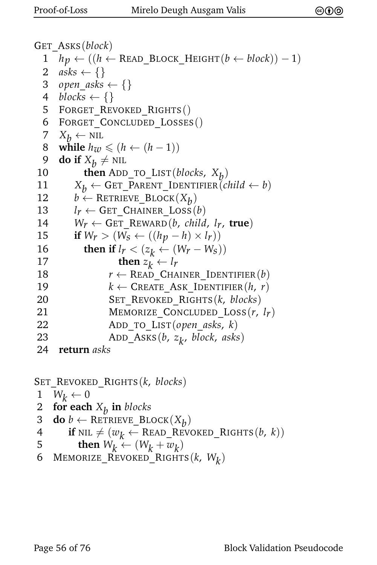```
GET_ASKS(block)
  1 hp ← ((h ← READ_BLOCK_HEIGHT(b ← block)) − 1)
  2 asks \leftarrow \{\}3 open asks \leftarrow \{\}4 blocks \leftarrow {}
  5 FORGET REVOKED RIGHTS()
  6 FORGET_CONCLUDED_LOSSES()
  7 X_b \leftarrow \text{NIL}<br>8 while h_{\tau D}while h_{\mathcal{W}} ≤ (h ← (h − 1))
  9 do if X_b \neq \text{NIL}10 then ADD_TO_LIST(blocks, X<sub>b</sub>)
11 X_b \leftarrow \text{GET\_PARENT\_IDENTIFIER}(child \leftarrow b)<br>12 b \leftarrow \text{RETRUE} \text{BLOCK}(X_b)12 b \leftarrow RETRIEVE_BLOCK(X_b)
13 l_r \leftarrow GET CHAINER LOSS(b)
14 W_r \leftarrow \text{GET\_REWARD}(b, \text{ child}, l_r, \text{ true})<br>15 if W_r > (W_s \leftarrow ((h_r - h) \times l_r))if W_r > (W_s ← ((h_p - h) × l_r))
 16 then if l_r < (z_k \leftarrow (W_r - W_s))17 then z_k \leftarrow l_r18 r \leftarrow READ CHAINER IDENTIFIER(b)
19 k \leftarrow \text{CREATE} ASK IDENTIFIER(h, r)20 SET_REVOKED_RIGHTS(k, blocks)
21 MEMORIZE_CONCLUDED_LOSS(r, lr)
22 ADD_TO_LIST(open_asks, k)
 23 ADD_ASKS(b, z
k
, block, asks)
24 return asks
```
SET\_REVOKED\_RIGHTS(*k*, *blocks*)

- 1  $W_k \leftarrow 0$ <br>2 for each
- 2 **for each** *Xb* **in** *blocks*
- 3 **do**  $b \leftarrow$  RETRIEVE\_BLOCK $(X_b)$
- 4 **if** NIL  $\neq$  ( $w_k \leftarrow$  READ\_REVOKED\_RIGHTS(*b*, *k*))<br>5 **then**  $W_k \leftarrow (W_k + w_k)$
- 5 **then**  $W_k \leftarrow (W_k + w_k)$
- 6 MEMORIZE\_REVOKED\_RIGHTS(*k*, *Wk* )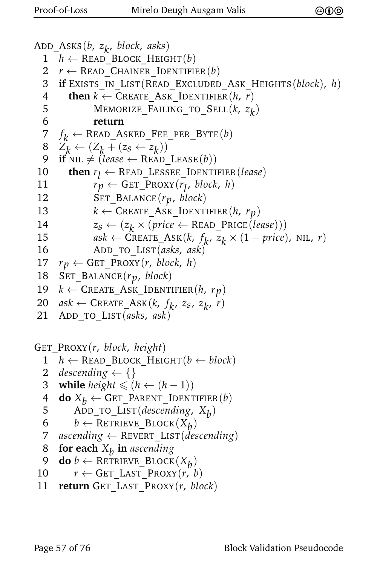```
ADD_ASKS(b, z
k
, block, asks)
 1 h ← READ_BLOCK_HEIGHT(b)
 2 r \leftarrow READ CHAINER IDENTIFIER(b)
 3 if EXISTS_IN_LIST(READ_EXCLUDED_ASK_HEIGHTS(block), h)
 4 then k \leftarrow CREATE ASK IDENTIFIER(h, r)
  5 MEMORIZE_FAILING_TO_SELL(k, z
k
)
 6 return
 7 f
     f_k \leftarrow \text{READ\_ASKED\_FEE\_PER\_BYTE}(b)\mathcal{B} \quad Z_k \leftarrow (Z_k + (z_s \leftarrow z_k))9 if NIL \neq (lease \leftarrow READ_LEASE(b))
10 then r_l \leftarrow \text{READ\_LESSEE\_IDENTIFIER} (lease)11 r_p \leftarrow \text{GET\_PROXY}(r_l, block, h)12 SET_BALANCE(rp, block)
13 k \leftarrow \text{CREATE}\_\text{ASK}\_\text{IDENTIFYER}(h, r_p)14 z_s \leftarrow (z_k \times (price \leftarrow \text{READ\_PRICE}(lease)))15 ask \leftarrow \text{CREATE}\_ \text{ASK}(k, f_k, z_k \times (1 - \text{price}), \text{NIL}, r)16 ADD_TO_LIST(asks, ask)
17 r_p \leftarrow GET_PROXY(r, block, h)
18 SET_BALANCE(rp, block)
19 k ← CREATE_ASK_IDENTIFIER(h, rp)
20 ask \leftarrow \text{CREATE}\_ \text{ASK}(k, f_k, z_s, z_k, r)21 ADD_TO_LIST(asks, ask)
```
GET\_PROXY(*r*, *block*, *height*)

```
1 h ← READ_BLOCK_HEIGHT(b ← block)
```
- 2 *descending*  $\leftarrow$  {}
- 3 **while** *height*  $\leq (h \leftarrow (h-1))$
- 4 **do**  $X_b \leftarrow$  GET\_PARENT\_IDENTIFIER(*b*)<br>5 ADD TO LIST(*descending*,  $X_b$ )
- 5 ADD\_TO\_LIST(*descending*, *Xb* )

```
6 b ← RETRIEVE_BLOCK(X_p)
```
- 7 *ascending*  $\leftarrow$  REVERT LIST(*descending*)
- 8 **for each** *Xb* **in** *ascending*

```
9 do b ← RETRIEVE_BLOCK(X_b)
```
10  $r \leftarrow$  GET\_LAST\_PROXY(*r*, *b*)

```
11 return GET_LAST_PROXY(r, block)
```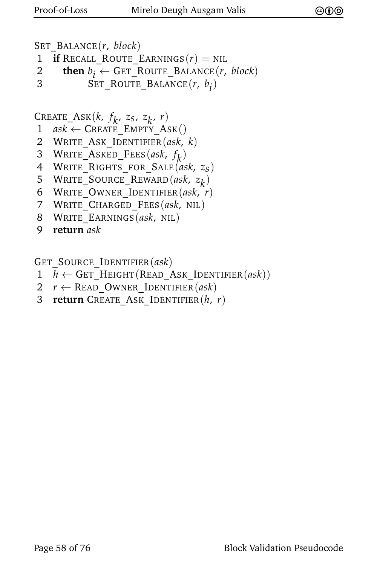SET\_BALANCE(*r*, *block*)

- 1 **if** RECALL\_ROUTE\_EARNINGS $(r)$  = NIL
- 2 **then**  $b_i \leftarrow$  GET\_ROUTE\_BALANCE(*r*, *block*)
- 3 SET\_ROUTE\_BALANCE(*r*, *b i* )

CREATE\_ASK( $k$ ,  $f_k$ ,  $z_s$ ,  $z_k$ ,  $r$ )

- $1$  *ask*  $\leftarrow$  CREATE EMPTY ASK()
- 2 WRITE\_ASK\_IDENTIFIER(*ask*, *k*)
- 3 WRITE\_ASKED\_FEES(*ask*,  $f_k$ )
- 4 WRITE\_RIGHTS\_FOR\_SALE(*ask*, *zs*)
- 5 WRITE\_SOURCE\_REWARD $(ask, z_k)$
- 6 WRITE\_OWNER\_IDENTIFIER(*ask*, *r*)
- 7 WRITE\_CHARGED\_FEES(*ask*, NIL)
- 8 WRITE\_EARNINGS(*ask*, NIL)
- 9 **return** *ask*

GET\_SOURCE\_IDENTIFIER(*ask*)

- $1$  *h*  $\leftarrow$  GET HEIGHT(READ ASK IDENTIFIER(*ask*))
- 2  $r \leftarrow$  READ\_OWNER\_IDENTIFIER(*ask*)
- 3 **return** CREATE\_ASK\_IDENTIFIER(*h*, *r*)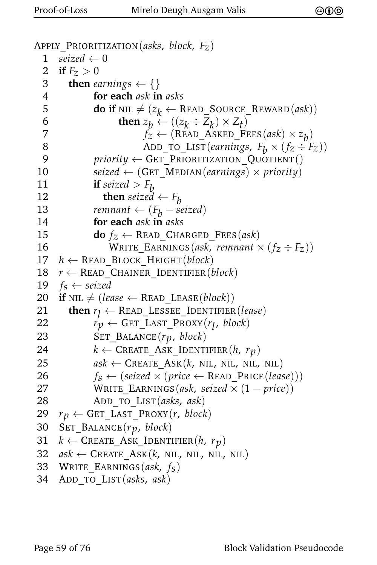```
APPLY_PRIORITIZATION(asks, block, Fz)
  1 seized \leftarrow 02 if F_z > 03 then earnings \leftarrow \{\}4 for each ask in asks
  5 do if NIL \neq (z_k \leftarrow \text{READ\_Source\_REWARD}(ask))6 then z_b \leftarrow ((z_k \div z_k) \times z_t)7 f_z \leftarrow (\text{READ\_ASKED\_FEES}(ask) \times z_b)8 ADD_TO_LIST(earnings, F_b \times (f_z \div F_z))<br>9 priority \leftarrow GET PRIORITIZATION OUOTIENT()
                \textit{priority} \leftarrow \texttt{GET\_PRIORITIZATION\_QuOTIENT}()10 seized ← (GET_MEDIAN(earnings) × priority)
 11 if seized > F_b<br>12 then seized12 then seized \leftarrow F_b<br>13 remnant \leftarrow (F_b - s_b)13 remnant ← (F_b - \text{seized})<br>14 for each ask in asks
                14 for each ask in asks
15 do f_Z \leftarrow READ_CHARGED_FEES(ask)
16 WRITE EARNINGS(ask, remnant \times (f_z \div F_z))
17 h ← READ_BLOCK_HEIGHT(block)
18 r \leftarrow READ CHAINER IDENTIFIER(block)
19 f_s \leftarrow seized<br>20 if NIL \neq (lee
      \mathbf{if} \text{ }\mathrm{NIL} \neq (lease \leftarrow \mathrm{READ} \text{ } LEASE(block))21 then r_l \leftarrow \text{READ\_LESSEE\_IDENTIFIER} (lease)22 rp \leftarrow \text{GET\_LAST\_PROXY}(r_l, block)23 SET_BALANCE(rp, block)
24 k \leftarrow \text{CREATE} ASK IDENTIFIER(h, r_p)
25 ask \leftarrow \text{CREATE}\_\text{ASK}(k, \text{ NIL}, \text{ NIL}, \text{ NIL}, \text{ NIL})26 f_s \leftarrow (seized \times (price \leftarrow READ\_PRICE(lease)))<br>27 WRITE EARNINGS(ask. seized \times (1 - price))WRITE EARNINGS(ask, seized \times (1 – price))
28 ADD_TO_LIST(asks, ask)
29 r_p \leftarrow GET_LAST_PROXY(r, block)
30 SET_BALANCE(rp, block)
31 k \leftarrow \text{CREATE}\_\text{ASK}\_\text{IDENTIFIER}(h, r_p)32 ask \leftarrow CREATE_ASK(k, NIL, NIL, NIL, NIL)
33 WRITE_EARNINGS(ask, fs)
34 ADD_TO_LIST(asks, ask)
```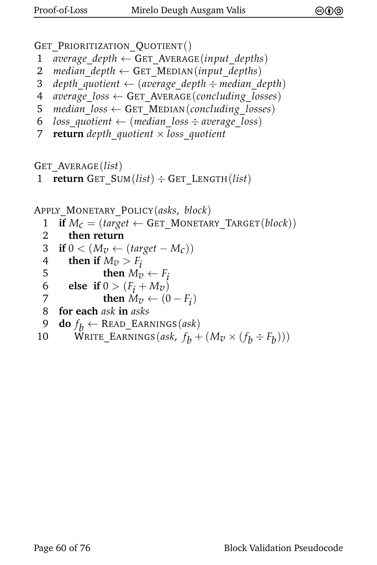GET PRIORITIZATION QUOTIENT()

- 1 *average*  $depth \leftarrow$  GET AVERAGE(*input depths*)
- 2 *median*  $depth \leftarrow$  GET MEDIAN(*input depths*)
- 3 *depth*\_*quotient* ← (*average*\_*depth* ÷ *median*\_*depth*)
- 4 *average*\_*loss* ← GET\_AVERAGE(*concluding*\_*losses*)
- 5 *median*  $loss \leftarrow$  GET MEDIAN(*concluding* losses)
- 6  $loss_quotient \leftarrow (median_loss \div average_loss)$
- 7 **return** *depth*\_*quotient* × *loss*\_*quotient*

GET\_AVERAGE(*list*)

```
1 return GET_SUM(list) ÷ GET_LENGTH(list)
```

```
APPLY_MONETARY_POLICY(asks, block)
```

```
1 if M_c = (target \leftarrow GET\_MONETARY_TARGE(<i>block</i>))<br>2 then return
```

```
2 then return
```

```
3 if 0 < (M_v \leftarrow (target - M_c))
```
- 4 **then if**  $M_v > F_i$ <br>5 **then**  $M_v$
- 5 **then**  $M_v \leftarrow F_i$ <br>6 **else if**  $0 > (F_i + M_v)$

```
6 else if 0 > (F_i + M_v)<br>7 then M_v \leftarrow (0
```

```
7 then M_v \leftarrow (0 - F_i)
```

```
8 for each ask in asks
```

```
9 do f_b \leftarrow \text{READ\_EARNING}(ask)
```

```
10 WRITE_EARNINGS(ask, f_b + (M_v \times (f_b \div F_b)))
```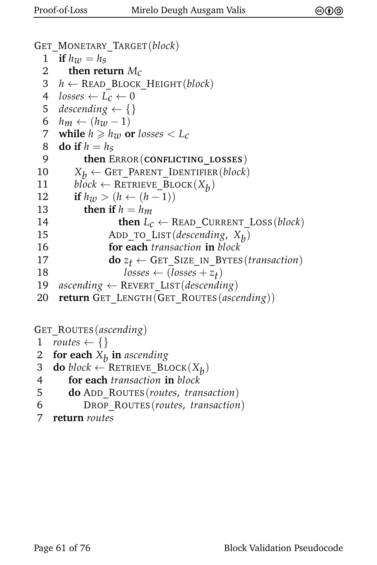```
GET_MONETARY_TARGET(block)
  1 if h_w = h_s<br>2 then ret
         2 then return Mc
  3 h ← READ_BLOCK_HEIGHT(block)
  4 losses \leftarrow L_c \leftarrow 0<br>5 descending \leftarrow \{\}descending \leftarrow \{\}6 h_m \leftarrow (h_w - 1)<br>7 while h \ge h_w o
      while h \geq h_{\mathcal{W}} or losses \lt L_c8 do if h = h_S<br>9 then E
             9 then ERROR(CONFLICTING_LOSSES)
10 X_b \leftarrow GET_PARENT_IDENTIFIER(block)<br>11 block \leftarrow RETRIEVE BLOCK(X_t)
 11 block ← RETRIEVE_BLOCK(X_b)12 if h_{\mathcal{U}} > (h ← (h − 1))
 13 then if h = h_m14 then L_c \leftarrow \text{READ\_CURRENT\_Loss}(block)15 ADD_TO_LIST(descending, Xb
)
16 for each transaction in block
17 do z_t \leftarrow GET_SIZE_IN_BYTES(transaction)<br>18 losses \leftarrow (losses + z<sub>t</sub>)
 18 losses \leftarrow (losses + z_t)19 ascending ← REVERT_LIST(descending)
20 return GET_LENGTH(GET_ROUTES(ascending))
```
GET\_ROUTES(*ascending*)

```
1 routes \leftarrow \{\}
```
- 2 **for each** *Xb* **in** *ascending*
- 3 **do** *block* ← RETRIEVE\_BLOCK $(X_b)$

```
4 for each transaction in block
```
- 5 **do** ADD\_ROUTES(*routes*, *transaction*)
- 6 DROP\_ROUTES(*routes*, *transaction*)
- 7 **return** *routes*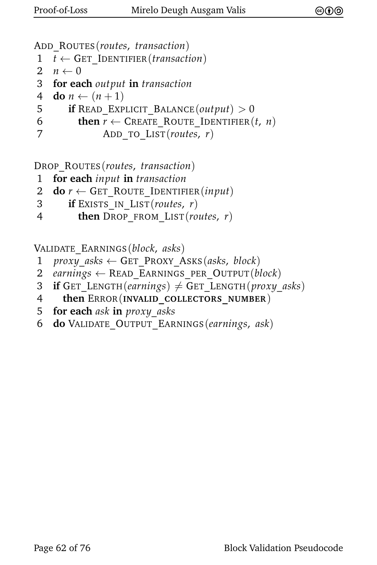```
ADD_ROUTES(routes, transaction)
```

```
1 \tleftarrow GET IDENTIFIER(transaction)
```

```
2 n \leftarrow 0
```

```
3 for each output in transaction
```

```
4 do n \leftarrow (n+1)
```

```
5 if READ EXPLICIT BALANCE(output) > 0
```

```
6 then r \leftarrow CREATE_ROUTE_IDENTIFIER(t, n)
```

```
7 ADD_TO_LIST(routes, r)
```
DROP\_ROUTES(*routes*, *transaction*)

1 **for each** *input* **in** *transaction*

```
2 do r \leftarrow GET ROUTE IDENTIFIER(input)
```

```
3 if EXISTS_IN_LIST(routes, r)
```

```
4 then DROP_FROM_LIST(routes, r)
```
VALIDATE\_EARNINGS(*block*, *asks*)

- 1 *proxy*\_*asks* ← GET\_PROXY\_ASKS(*asks*, *block*)
- 2 *earnings* ← READ\_EARNINGS\_PER\_OUTPUT(*block*)
- 3 **if** GET LENGTH(*earnings*)  $\neq$  GET LENGTH(*proxy asks*)
- 4 **then** ERROR(**INVALID\_COLLECTORS\_NUMBER**)
- 5 **for each** *ask* **in** *proxy*\_*asks*
- 6 **do** VALIDATE\_OUTPUT\_EARNINGS(*earnings*, *ask*)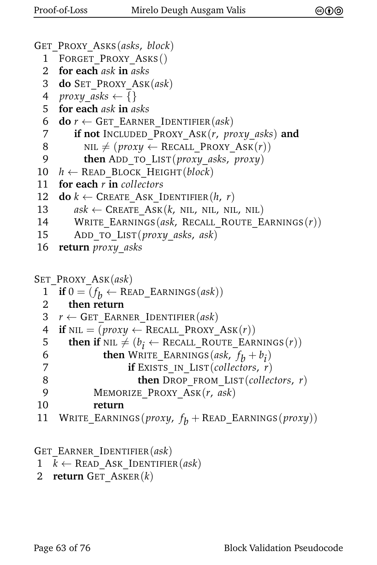```
GET_PROXY_ASKS(asks, block)
 1 FORGET PROXY ASKS()
 2 for each ask in asks
 3 do SET_PROXY_ASK(ask)
 4 proxy_asks \leftarrow \{\}5 for each ask in asks
 6 do r \leftarrow GET_EARNER_IDENTIFIER(ask)
 7 if not INCLUDED_PROXY_ASK(r, proxy_asks) and
 8 NIL \neq (proxy \leftarrow RECALL PROXY ASK(r))
 9 then ADD_TO_LIST(proxy_asks, proxy)
10 h ← READ BLOCK HEIGHT(block)
11 for each r in collectors<br>12 do k \leftarrow CREATE ASK I
     \mathbf{do}\ k \leftarrow \text{CREATE} ASK IDENTIFIER(h, r)13 ask \leftarrow CREATE_ASK(k, NIL, NIL, NIL, NIL)
14 WRITE_EARNINGS(ask, RECALL_ROUTE_EARNINGS(r))
15 ADD_TO_LIST(proxy_asks, ask)
16 return proxy_asks
SET_PROXY_ASK(ask)
  1 if 0 = (f_b \leftarrow \text{READ\_EARNING}(ask))2 then return
 3 r \leftarrow GET EARNER IDENTIFIER(ask)
 4 if NIL = (prox y \leftarrow RECALL PROXY Ask(r))5 then if NIL \neq (b_i \leftarrow \text{RECALL}\_\text{ROUTE}\_\text{EARNINGS}(r))6 then WRITE_EARNINGS(ask, f_b + b_i)
 7 if EXISTS_IN_LIST(collectors, r)
 8 then DROP_FROM_LIST(collectors, r)
 9 MEMORIZE_PROXY_ASK(r, ask)
10 return
11 WRITE_EARNINGS(proxy, f
b + READ_EARNINGS(proxy))
```
GET\_EARNER\_IDENTIFIER(*ask*)

- $1 \quad k \leftarrow \text{READ}$  ASK **IDENTIFIER**(*ask*)
- 2 **return** GET\_ASKER(*k*)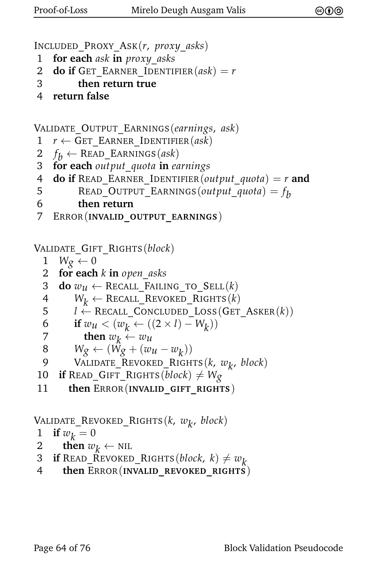```
INCLUDED_PROXY_ASK(r, proxy_asks)
```
- 1 **for each** *ask* **in** *proxy*\_*asks*
- 2 **do if** GET EARNER IDENTIFIER $(ask) = r$
- 3 **then return true**
- 4 **return false**

```
VALIDATE_OUTPUT_EARNINGS(earnings, ask)
```
- $1$   $r \leftarrow$  GET EARNER IDENTIFIER(*ask*)
- $2 f_b \leftarrow \text{READ\_EARNING}(ask)$
- 3 **for each** *output*\_*quota* **in** *earnings*
- 4 **do if** READ\_EARNER\_IDENTIFIER(*output\_quota*) =  $r$  and
- 5 READ\_OUTPUT\_EARNINGS(*output\_quota*) =  $f_b$
- 6 **then return**
- 7 ERROR(**INVALID\_OUTPUT\_EARNINGS**)

```
VALIDATE_GIFT_RIGHTS(block)
```
- 1  $W_{\mathcal{Q}} \leftarrow 0$
- 2 **for each** *k* **in** *open*\_*asks*
- 3 **do**  $w_u \leftarrow \text{Recall\_FAILING\_TO\_SELL}(k)$
- $4$  *W<sub>k</sub>* ← RECALL\_REVOKED\_RIGHTS(*k*)<br>5 *l* ← RECALL CONCLUDED LOSS(GET
- $l \leftarrow$  RECALL\_CONCLUDED\_LOSS(GET\_ASKER(k))
- 6 **if**  $w_u < (w_k \leftarrow ((2 \times l) W_k))$
- 7 **then**  $w_k \leftarrow w_u$

$$
8 \qquad W_g \leftarrow (\hat{W_g} + (w_u - w_k))
$$

- 9 VALIDATE\_REVOKED\_RIGHTS(*k*, *wk* , *block*)
- 10 **if** READ\_GIFT\_RIGHTS(*block*)  $\neq W_g$
- 11 **then** ERROR(**INVALID\_GIFT\_RIGHTS**)

```
VALIDATE_REVOKED_RIGHTS(k, wk
, block)
```

$$
1 \quad \text{if } w_k = 0
$$

- 2 **then**  $w_k \leftarrow \text{NIL}$
- 3 **if** READ\_REVOKED\_RIGHTS(*block*,  $k$ )  $\neq w_k$ <br>4 **then** ERROR(INVALID REVOKED RIGHTS)
- 4 **then** ERROR(**INVALID\_REVOKED\_RIGHTS**)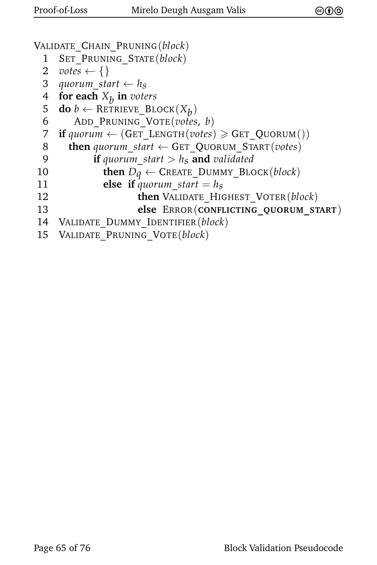```
VALIDATE_CHAIN_PRUNING(block)
 1 SET_PRUNING_STATE(block)
 2 votes \left\{\right\}3 quorum_start \leftarrow h_s4 for each Xb
in voters
  5 do b ← RETRIEVE_BLOCK(X_b)6 ADD_PRUNING_VOTE(votes, b)
 7 if \text{quorum} \leftarrow (\text{GET\_LENGTH}(votes) \geq \text{GET\_QUORUM}())8 then quorum_start ← GET_QUORUM_START(votes)
 9 if quorum_start > hs and validated
10 then Dq \leftarrow CREATE_DUMMY_BLOCK(block)<br>11 else if auorum start = h_s11 else if quorum_start = h<sub>s</sub><br>12 then VALIDATE HIC
                      12 then VALIDATE_HIGHEST_VOTER(block)
13 else ERROR(CONFLICTING_QUORUM_START)
14 VALIDATE_DUMMY_IDENTIFIER(block)
15 VALIDATE_PRUNING_VOTE(block)
```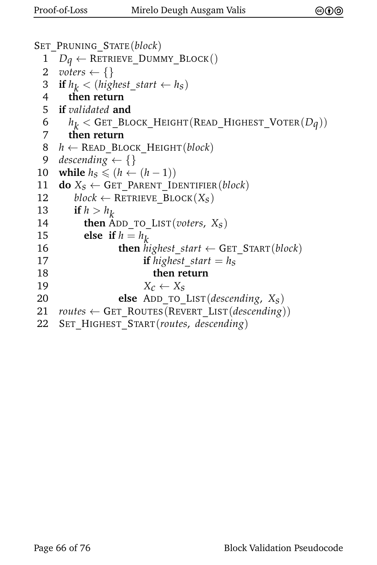```
SET_PRUNING_STATE(block)
  1 D_q \leftarrow RETRIEVE_DUMMY_BLOCK()<br>2 voters \leftarrow \{\}voters \leftarrow \{\}3 if h_k < (highest\_start \leftarrow h_s)4 then return
  5 if validated and
  6 h
k < GET_BLOCK_HEIGHT(READ_HIGHEST_VOTER(Dq))
  7 then return
  8 h ← READ_BLOCK_HEIGHT(block)
  9 descending \leftarrow {}
10 while h_S \leq (h \leftarrow (h-1))<br>11 do X_s \leftarrow GET PARENT ID
     \mathbf{do} X_S \leftarrow \mathbf{GET} PARENT IDENTIFIER(block)
12 block \leftarrow RETRIEVE_BLOCK(X_S)13 if h > h_k14 then ADD_TO_LIST(voters, X<sub>S</sub>)<br>15 else if h = h_k15 else if h = h_k16 then highest_start \leftarrow GET_START(block)
17 if highest_start = hs
18 then return
19 X_c \leftarrow X_s<br>20 else ADD TO
                   20 else ADD_TO_LIST(descending, Xs)
21 routers \leftarrow GET_Routers(Rever_LIST(descending))22 SET_HIGHEST_START(routes, descending)
```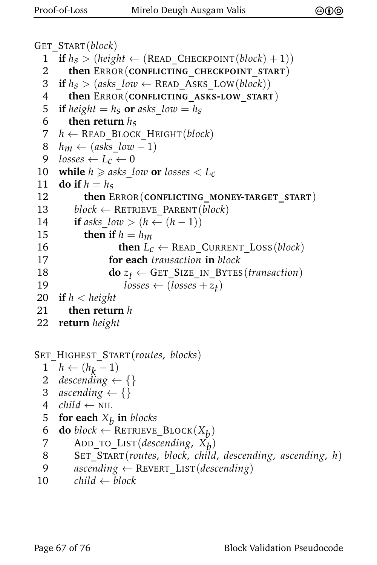```
GET_START(block)
  1 if h_S > (height \leftarrow (READ\_CHECKPONT(block) + 1))<br>2 then ERROR(CONFLICTING CHECKPOINT START)
        2 then ERROR(CONFLICTING_CHECKPOINT_START)
  3 if h_s > (asks\_low \leftarrow \text{READ}\_\text{ASKS}\_\text{LOW}(block))4 then ERROR(CONFLICTING_ASKS-LOW_START)
  5 if height = h<sub>S</sub> or asks low = h<sub>S</sub>6 then return h_S<br>7 h \leftarrow READ BLOCI
      h \leftarrow READ_BLOCK_HEIGHT(block)
  8 h_m \leftarrow (asks \, low - 1)9 losses \leftarrow L_c \leftarrow 010 while h \geq asks\_{low} or losses < L_c<br>11 do if h = h_s11 do if h = h_S<br>12 then E
            12 then ERROR(CONFLICTING_MONEY-TARGET_START)
13 block \leftarrow RETRIEVE_PARENT(block)
14 if asks low > (h \leftarrow (h-1))15 then if h = h_m16 then L_c \leftarrow READ CURRENT LOSS(block)
17 for each transaction in block
18 do z_t \leftarrow GET_SIZE_IN_BYTES(transaction)<br>19 losses \leftarrow (losses + z_t)
 19 losses \leftarrow (losses + z_t)20 if h < height
21 then return h
22 return height
SET_HIGHEST_START(routes, blocks)
  \frac{1}{2} h \leftarrow (h_k - 1)2 descending \leftarrow {}
  3 ascending \leftarrow {}
  4 child \leftarrow NIL
  5 for each Xb
in blocks
  \mathbf{6} do block \leftarrow RETRIEVE_BLOCK(X_b)7 ADD_TO_LIST(descending, Xb
)
  8 SET_START(routes, block, child, descending, ascending, h)
  9 ascending ← REVERT_LIST(descending)
10 child \leftarrow block
```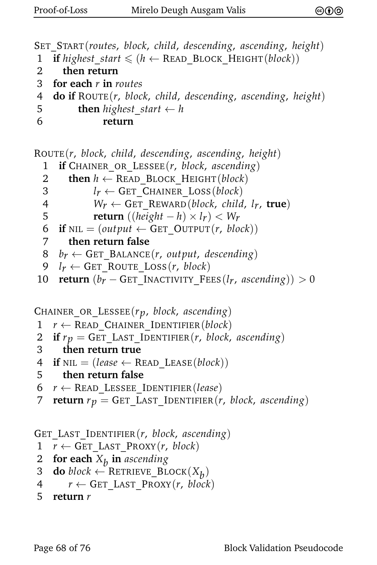```
SET_START(routes, block, child, descending, ascending, height)
1 if highest start \leq (h \leftarrow \text{READ} \text{ BLOCK} \text{ HEIGHT}(block))2 then return
3 for each r in routes
4 do if ROUTE(r, block, child, descending, ascending, height)
5 then highest start \leftarrow h
6 return
ROUTE(r, block, child, descending, ascending, height)
  1 if CHAINER_OR_LESSEE(r, block, ascending)
  2 then h \leftarrow READ BLOCK HEIGHT(block)
  3 l_r \leftarrow GET_CHAINER_LOSS(block)<br>4 W_r \leftarrow GET REWARD(block, child)
  4 W_r \leftarrow \text{GET\_REWARD}(block, child, l_r, true)<br>5 return ((height - h) \times l_r) < W_r5 return ((height - h) \times l_r) < W_r<br>6 if NIL = (output \leftarrow GET OUTPUT(r, blo)\textbf{if } \text{NIL} = (output \leftarrow \text{GET } \text{OUTPUT}(r, block))7 then return false
  8 b_r \leftarrow GET BALANCE(r, output, descending)
  9 l_r \leftarrow GET_ROUTE_LOSS(r, block)
 10 return (b_r - GET INACTIVITY FEES(l_r, ascending)) > 0
CHAINER_OR_LESSEE(rp, block, ascending)
1 r \leftarrow READ CHAINER IDENTIFIER(block)
2 if r_p = \text{GET\_LAST\_IDENTIFIER}(r, block, ascending)<br>3 then return true
       3 then return true
4 if NIL = (lease \leftarrow READ\_LEASE(block))5 then return false
6 r \leftarrow READ_LESSEE_IDENTIFIER(lease)
 7 return r_p = \text{GET\_LAST\_IDENTIFYER}(r, block, ascending)
```
GET\_LAST\_IDENTIFIER(*r*, *block*, *ascending*)

- 1  $r \leftarrow$  GET\_LAST\_PROXY(*r*, *block*)
- 2 **for each** *Xb* **in** *ascending*
- $3$  **do** *block* ← RETRIEVE\_BLOCK $(X_b)$
- 4  $r \leftarrow$  GET LAST PROXY(*r*, *block*)

```
5 return r
```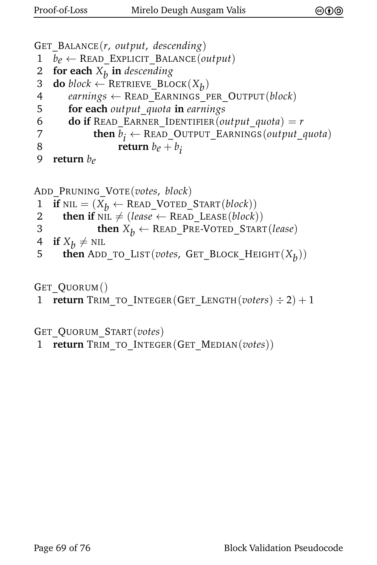```
GET_BALANCE(r, output, descending)
1 b_e \leftarrow READ_EXPLICIT_BALANCE(output)<br>2 for each X_h in descending
 2 for each Xb
in descending
 3 do block \leftarrow RETRIEVE_BLOCK(X_b)4 earnings ← READ_EARNINGS_PER_OUTPUT(block)
5 for each output_quota in earnings
6 do if READ_EARNER_IDENTIFIER(output_quota) = r7 then b_i \leftarrow \text{READ\_OUTPUT\_EARNING}(output\_quota)8 return b_e + b_i9 return be
ADD_PRUNING_VOTE(votes, block)
1 if NIL = (X_b \leftarrow \text{READ_VOTED_START}(block))<br>2 then if NIL \neq (lease \leftarrow READ LEASE(block)
       then if NIL \neq (lease \leftarrow \text{READ\_LEASE}(block))3 then X_b \leftarrow \text{READ\_PRE-VOTED\_START}(lease)<br>4 if X_b \neq \text{NIL}
```

```
4 if X_b \neq \text{NIL}
```
<sup>5</sup> **then** <sup>A</sup>DD\_TO\_LIST(*votes*, <sup>G</sup>ET\_BLOCK\_HEIGHT(*Xb* ))

GET\_QUORUM()

```
1 return TRIM_TO_INTEGER(GET_LENGTH(voters) \div 2) + 1
```
GET\_QUORUM\_START(*votes*)

1 **return** TRIM\_TO\_INTEGER(GET\_MEDIAN(*votes*))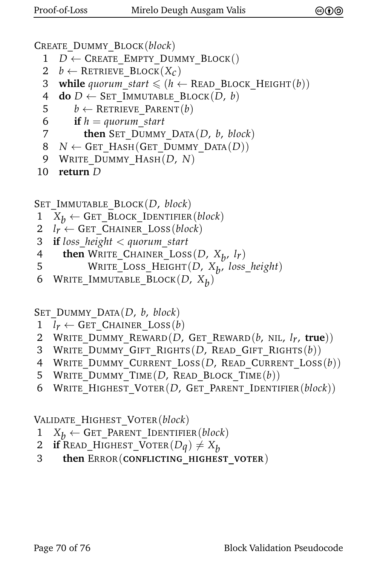CREATE\_DUMMY\_BLOCK(*block*)

- $1$  *D* ← CREATE EMPTY DUMMY BLOCK()
- 2  $b \leftarrow$  RETRIEVE BLOCK( $X_c$ )
- 3 **while** *quorum\_start*  $\leq (h \leftarrow \text{READ\_Block\_HEIGHT}(b))$
- 4 **do**  $D \leftarrow$  SET IMMUTABLE BLOCK(*D*, *b*)
- 5  $b \leftarrow$  RETRIEVE PARENT $(b)$
- 6 **if**  $h =$  *quorum start*
- 7 **then** SET\_DUMMY\_DATA(*D*, *b*, *block*)
- 8 *N* ← GET\_HASH(GET\_DUMMY\_DATA(*D*))
- 9 WRITE\_DUMMY\_HASH(*D*, *N*)
- 10 **return** *D*

SET\_IMMUTABLE\_BLOCK(*D*, *block*)

- 1  $X_b \leftarrow$  GET\_BLOCK\_IDENTIFIER(*block*)<br>2  $l_r \leftarrow$  GET CHAINER LOSS(*block*)
- $l_r \leftarrow$  GET CHAINER LOSS(*block*)
- 3 **if** *loss*\_*height* < *quorum*\_*start*
- 4 **then** WRITE\_CHAINER\_LOSS( $D$ ,  $X_b$ ,  $lr$ )
- 5 WRITE\_LOSS\_HEIGHT(*D*, *X*<sub>b</sub>, loss\_height)
- 6 WRITE\_IMMUTABLE\_BLOCK(*D*, *Xb* )

SET\_DUMMY\_DATA(*D*, *b*, *block*)

- 1  $l_r \leftarrow$  GET\_CHAINER\_LOSS(*b*)<br>2 WRITE DUMMY REWARD(*D*,
- 2 WRITE\_DUMMY\_REWARD(*D*, GET\_REWARD(*b*, NIL, *lr*, **true**))
- 3 WRITE\_DUMMY\_GIFT\_RIGHTS(*D*, READ\_GIFT\_RIGHTS(*b*))
- 4 WRITE\_DUMMY\_CURRENT\_LOSS(*D*, READ\_CURRENT\_LOSS(*b*))
- 5 WRITE\_DUMMY\_TIME(*D*, READ\_BLOCK\_TIME(*b*))
- 6 WRITE\_HIGHEST\_VOTER(*D*, GET\_PARENT\_IDENTIFIER(*block*))

VALIDATE\_HIGHEST\_VOTER(*block*)

- 1  $X_b \leftarrow$  GET\_PARENT\_IDENTIFIER(*block*)<br>2 **if** READ HIGHEST VOTER(*Da*)  $\neq X_b$
- 2 **if** READ\_HIGHEST\_VOTER $(Dq) \neq X_b$ <br>3 **then** ERROR(**CONFLICTING** HIGHES
- 3 **then** ERROR(**CONFLICTING\_HIGHEST\_VOTER**)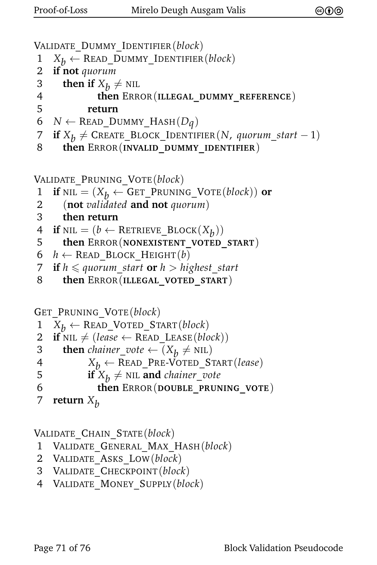```
VALIDATE_DUMMY_IDENTIFIER(block)
```
- 1  $X_b \leftarrow \text{READ\_DUMMY\_IDENTIFIER}(block)$ <br>2 **if not** quorum
- if not *quorum*
- 3 **then if**  $X_b \neq \text{NIL}$
- 4 **then** ERROR(**ILLEGAL\_DUMMY\_REFERENCE**)
- 5 **return**

```
6 N \leftarrow READ_DUMMY_HASH(D_q)
```
- 7 **if**  $X_b$  ≠ CREATE\_BLOCK\_IDENTIFIER(*N*, *quorum\_start* − 1)
- 8 **then** ERROR(**INVALID\_DUMMY\_IDENTIFIER**)

VALIDATE\_PRUNING\_VOTE(*block*)

```
1 if NIL = (X_b \leftarrow GET_PRUNING_VOTE(block)) or<br>2 (not validated and not auorum)
```
- 2 (**not** *validated* **and not** *quorum*)
- 3 **then return**
- $\mathbf{f}$  **if**  $\text{nil} = (b \leftarrow \text{RETRIEVE\_Block}(X_b))$
- 5 **then** ERROR(**NONEXISTENT\_VOTED\_START**)
- 6  $h \leftarrow$  READ\_BLOCK\_HEIGHT(*b*)
- 7 **if**  $h \le$  quorum start **or**  $h >$  highest start
- 8 **then** ERROR(**ILLEGAL\_VOTED\_START**)

```
GET_PRUNING_VOTE(block)
```

```
1 X_b \leftarrow \text{READ_VOTED_START}(block)<br>2 if NIL \neq (lease \leftarrow READ LEASE(blc
```

```
\mathbf{if} \text{ }\mathrm{NIL} \neq (lease \leftarrow \mathrm{READ\_LEASE}(block))
```

```
then chainer_vote \leftarrow (X_p \neq \text{NIL})
```

```
4 X_b \leftarrow \text{READ\_PRE-VOTED\_START}(lease)<br>5 if X_b \neq \text{NIL} and chainer vote
```
5 **if**  $X_b \neq \text{NIL}$  **and** *chainer\_vote* 

```
6 then ERROR(DOUBLE_PRUNING_VOTE)
```

```
7 return X_h
```
VALIDATE\_CHAIN\_STATE(*block*)

```
1 VALIDATE_GENERAL_MAX_HASH(block)
```
- 2 VALIDATE\_ASKS\_LOW(*block*)
- 3 VALIDATE\_CHECKPOINT(*block*)
- 4 VALIDATE\_MONEY\_SUPPLY(*block*)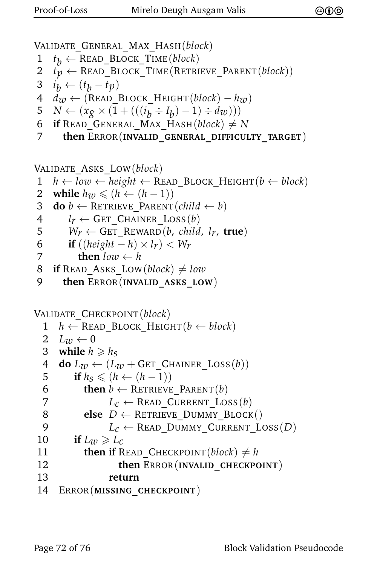VALIDATE\_GENERAL\_MAX\_HASH(*block*)

- 1 *t*  $t_h \leftarrow$  READ\_BLOCK\_TIME(*block*)
- 2  $t_p \leftarrow$  READ BLOCK TIME(RETRIEVE PARENT(*block*))

```
3 i_b \leftarrow (t_b - t_p)
```
- $4 \frac{d}{w} \leftarrow (\text{READ} \text{ Block} + \text{Height}(block) h_w)$
- 5  $N \leftarrow (x_g \times (1 + (((i_b \div I_b) 1) \div d_w)))$
- 6 **if** READ GENERAL MAX HASH(*block*)  $\neq$  *N*
- 7 **then** ERROR(**INVALID\_GENERAL\_DIFFICULTY\_TARGET**)

```
VALIDATE_ASKS_LOW(block)
```
1 *h* ← *low* ← *height* ← READ\_BLOCK\_HEIGHT(*b* ← *block*)

```
2 while h_w \leq (h \leftarrow (h-1))<br>3 do b \leftarrow RETRIEVE PARENT
```
 $\mathbf{d}\mathbf{o} \mathbf{b} \leftarrow \text{RETRIEVE PARENT}(child \leftarrow b)$ 

```
l_r \leftarrow GET_CHAINER_LOSS(b)<br>5 Wr \leftarrow GET REWARD(b. child
```
 $W_r \leftarrow$  GET REWARD(*b*, *child*, *l<sub>r</sub>*, **true**)

```
6 if ((height - h) \times l_r) < W_r<br>7 then low \leftarrow h
```

```
then low \leftarrow h
```
- 8 **if** READ\_ASKS\_LOW(*block*)  $\neq$  *low*
- 9 **then** ERROR(**INVALID\_ASKS\_LOW**)

```
VALIDATE_CHECKPOINT(block)
```

```
1 h ← READ_BLOCK_HEIGHT(b ← block)
 2 L_w \leftarrow 03 while h \ge h_s4 do L_w \leftarrow (L_w + \text{GET\_CHAINER\_Loss}(b))<br>5 if h_s \leq (h \leftarrow (h-1))5 if h_S \leq (h \leftarrow (h-1))<br>6 then b \leftarrow RETRIEVE
           then b \leftarrow RETRIEVE PARENT(b)7 L_c \leftarrow \text{READ\_CURRENT\_Loss}(b)<br>8 else D ← RETRIEVE DUMMY BLOCK
           else D \leftarrow RETRIEVE DUMMY BLOCK()
 9 L_c \leftarrow READ DUMMY CURRENT LOSS(D)
10 if L_w \ge L_c11 then if READ CHECKPOINT(block) \neq h12 then ERROR(INVALID_CHECKPOINT)
13 return
14 ERROR(MISSING_CHECKPOINT)
```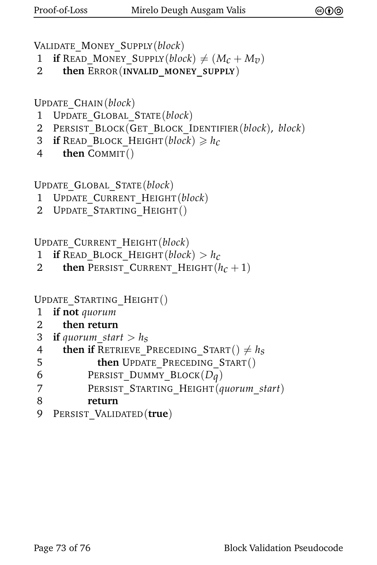```
VALIDATE_MONEY_SUPPLY(block)
```
- 1 **if** READ\_MONEY\_SUPPLY(*block*)  $\neq$  (*M<sub>C</sub>* + *M<sub>v</sub>*)<br>2 **then** ERROR(INVALID MONEY SUPPLY)
- 2 **then** ERROR(**INVALID\_MONEY\_SUPPLY**)

UPDATE\_CHAIN(*block*)

- 1 UPDATE\_GLOBAL\_STATE(*block*)
- 2 PERSIST\_BLOCK(GET\_BLOCK\_IDENTIFIER(*block*), *block*)
- 3 **if** READ\_BLOCK\_HEIGHT(*block*)  $\geq h_c$ <br>4 **then** COMMIT()
- then COMMIT()

UPDATE\_GLOBAL\_STATE(*block*)

- 1 UPDATE\_CURRENT\_HEIGHT(*block*)
- 2 UPDATE STARTING HEIGHT()

UPDATE\_CURRENT\_HEIGHT(*block*)

- 1 **if** READ\_BLOCK\_HEIGHT(*block*) >  $h_c$ <br>2 **then** PERSIST CURRENT HEIGHT(*k*)
- **then** PERSIST CURRENT HEIGHT $(h_c + 1)$

```
UPDATE_STARTING_HEIGHT()
```
- 1 **if not** *quorum*
- 2 **then return**
- 3 **if** *quorum start*  $> h_s$

```
4 then if RETRIEVE_PRECEDING_START() \neq h_s<br>5 then UPDATE PRECEDING START()
```

```
5 then UPDATE_PRECEDING_START()
```
- 6 **PERSIST\_DUMMY\_BLOCK** $(D_q)$ <br>7 **PERSIST STARTING HEIGHT** $(a$
- 7 PERSIST\_STARTING\_HEIGHT(*quorum*\_*start*)
- 8 **return**
- 9 PERSIST\_VALIDATED(**true**)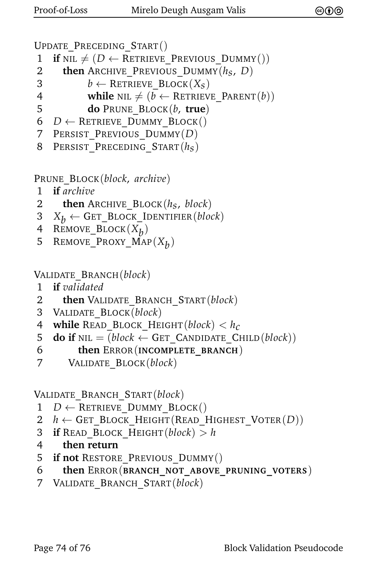```
UPDATE_PRECEDING_START()
```
- 1 **if** NIL  $\neq$  (*D*  $\leftarrow$  RETRIEVE PREVIOUS DUMMY())
- 2 **then** ARCHIVE\_PREVIOUS\_DUMMY( $h_s$ , D)<br>3  $b \leftarrow$  RETRIEVE BLOCK( $X_s$ )
- 3  $b \leftarrow$  RETRIEVE\_BLOCK(*X<sub>S</sub>*)<br>4 **while** NIL  $\neq$  (*b*  $\leftarrow$  RETRIEV
- **while** NIL  $\neq$  (*b* ← RETRIEVE PARENT(*b*))
- 5 **do** PRUNE\_BLOCK(*b*, **true**)
- 6  $D \leftarrow$  RETRIEVE DUMMY BLOCK()
- 7 PERSIST\_PREVIOUS\_DUMMY(*D*)
- 8 PERSIST\_PRECEDING\_START(*hs*)

PRUNE\_BLOCK(*block*, *archive*)

- 1 **if** *archive*
- 2 **then** ARCHIVE\_BLOCK( $h_s$ , *block*)<br>3  $X_b \leftarrow$  GET BLOCK IDENTIFIER(*block*)
- 3  $X_b \leftarrow$  GET\_BLOCK\_IDENTIFIER(*block*)<br>4 REMOVE BLOCK( $X_b$ )
- 4 REMOVE\_BLOCK(X<sub>b</sub>)
- 5 REMOVE\_PROXY\_MAP(X<sub>b</sub>)

VALIDATE\_BRANCH(*block*)

- 1 **if** *validated*
- 2 **then** VALIDATE\_BRANCH\_START(*block*)
- 3 VALIDATE\_BLOCK(*block*)
- 4 **while** READ\_BLOCK\_HEIGHT(*block*) <  $h_c$ <br>5 **do if** NIL = (*block*  $\leftarrow$  GET CANDIDATE CF
- **do if**  $NIL = (block \leftarrow GET$  CANDIDATE CHILD $(block)$ )
- 6 **then** ERROR(**INCOMPLETE\_BRANCH**)
- 7 VALIDATE\_BLOCK(*block*)

VALIDATE\_BRANCH\_START(*block*)

- $1$  *D* ← RETRIEVE DUMMY BLOCK()
- 2  $h \leftarrow$  Get Block Height(Read Highest Voter(*D*))
- 3 **if** READ BLOCK HEIGHT(*block*)  $> h$
- 4 **then return**
- 5 **if not** RESTORE\_PREVIOUS\_DUMMY()
- 6 **then** ERROR(**BRANCH\_NOT\_ABOVE\_PRUNING\_VOTERS**)
- 7 VALIDATE\_BRANCH\_START(*block*)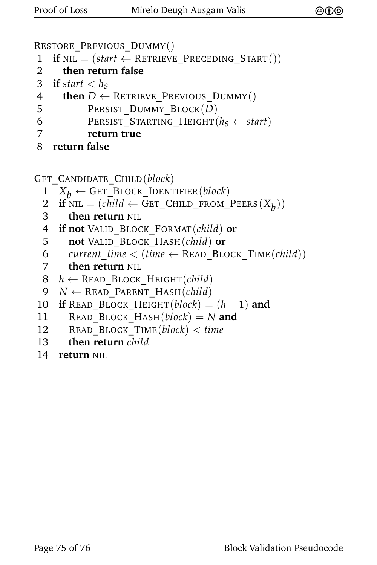```
RESTORE_PREVIOUS_DUMMY()
```

```
1 if NIL = (start \leftarrow RETRIEVE PRECEDING STATE()
```
2 **then return false**

```
3 if start < h_s<br>4 then D \leftarrow
```

```
then D \leftarrow RETRIEVE PREVIOUS DUMMY()
```

```
5 PERSIST DUMMY BLOCK(D)
```

```
6 PERSIST_STARTING_HEIGHT(h_s \leftarrow start)<br>7 return true
```
- 7 **return true**
- 8 **return false**

```
GET_CANDIDATE_CHILD(block)
```
- 1  $X_b \leftarrow$  GET\_BLOCK\_IDENTIFIER(*block*)<br>2 **if** NIL = (*child*  $\leftarrow$  GET CHILD FROM
- 2 **if**  $NIL = (child \leftarrow GET\_CHILD\_FROM\_PEERS(X_b))$
- 3 **then return** NIL
- 4 **if not** VALID\_BLOCK\_FORMAT(*child*) **or**
- 5 **not** VALID\_BLOCK\_HASH(*child*) **or**
- 6 *current time*  $\leftarrow$  (*time*  $\leftarrow$  READ BLOCK TIME(*child*))
- 7 **then return** NIL

```
8 h \leftarrow READ BLOCK HEIGHT(child)
```

```
9 N ← READ_PARENT_HASH(child)
```

```
10 if READ_BLOCK_HEIGHT(block) = (h-1) and
```

```
11 READ_BLOCK_HASH(block) = N and
```
- 12 READ\_BLOCK\_TIME(*block*) < *time*
- 13 **then return** *child*
- 14 **return** NIL